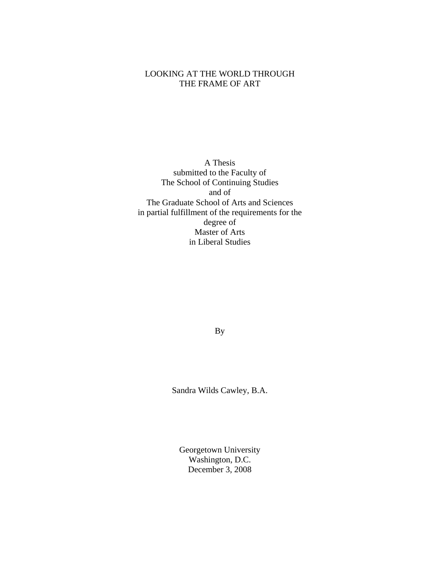## LOOKING AT THE WORLD THROUGH THE FRAME OF ART

A Thesis submitted to the Faculty of The School of Continuing Studies and of The Graduate School of Arts and Sciences in partial fulfillment of the requirements for the degree of Master of Arts in Liberal Studies

By

Sandra Wilds Cawley, B.A.

Georgetown University Washington, D.C. December 3, 2008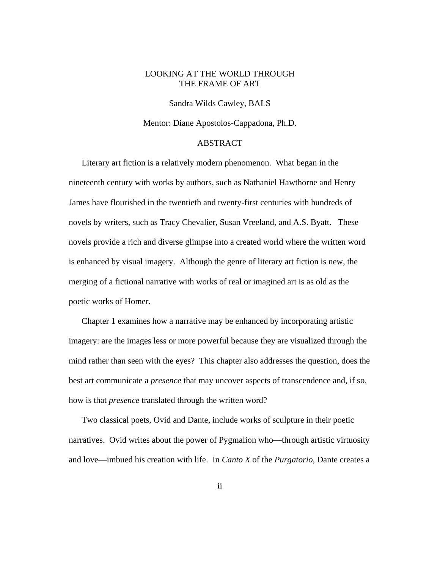### LOOKING AT THE WORLD THROUGH THE FRAME OF ART

Sandra Wilds Cawley, BALS

Mentor: Diane Apostolos-Cappadona, Ph.D.

### ABSTRACT

Literary art fiction is a relatively modern phenomenon. What began in the nineteenth century with works by authors, such as Nathaniel Hawthorne and Henry James have flourished in the twentieth and twenty-first centuries with hundreds of novels by writers, such as Tracy Chevalier, Susan Vreeland, and A.S. Byatt. These novels provide a rich and diverse glimpse into a created world where the written word is enhanced by visual imagery. Although the genre of literary art fiction is new, the merging of a fictional narrative with works of real or imagined art is as old as the poetic works of Homer.

Chapter 1 examines how a narrative may be enhanced by incorporating artistic imagery: are the images less or more powerful because they are visualized through the mind rather than seen with the eyes? This chapter also addresses the question, does the best art communicate a *presence* that may uncover aspects of transcendence and, if so, how is that *presence* translated through the written word?

Two classical poets, Ovid and Dante, include works of sculpture in their poetic narratives. Ovid writes about the power of Pygmalion who—through artistic virtuosity and love—imbued his creation with life. In *Canto X* of the *Purgatorio*, Dante creates a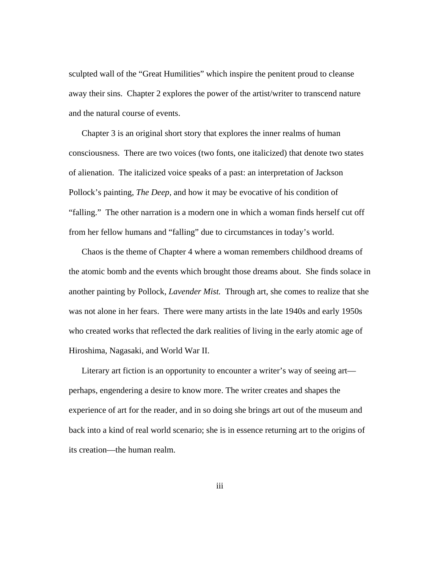sculpted wall of the "Great Humilities" which inspire the penitent proud to cleanse away their sins. Chapter 2 explores the power of the artist/writer to transcend nature and the natural course of events.

Chapter 3 is an original short story that explores the inner realms of human consciousness. There are two voices (two fonts, one italicized) that denote two states of alienation. The italicized voice speaks of a past: an interpretation of Jackson Pollock's painting, *The Deep,* and how it may be evocative of his condition of "falling." The other narration is a modern one in which a woman finds herself cut off from her fellow humans and "falling" due to circumstances in today's world.

Chaos is the theme of Chapter 4 where a woman remembers childhood dreams of the atomic bomb and the events which brought those dreams about. She finds solace in another painting by Pollock, *Lavender Mist.* Through art, she comes to realize that she was not alone in her fears. There were many artists in the late 1940s and early 1950s who created works that reflected the dark realities of living in the early atomic age of Hiroshima, Nagasaki, and World War II.

Literary art fiction is an opportunity to encounter a writer's way of seeing art perhaps, engendering a desire to know more. The writer creates and shapes the experience of art for the reader, and in so doing she brings art out of the museum and back into a kind of real world scenario; she is in essence returning art to the origins of its creation—the human realm.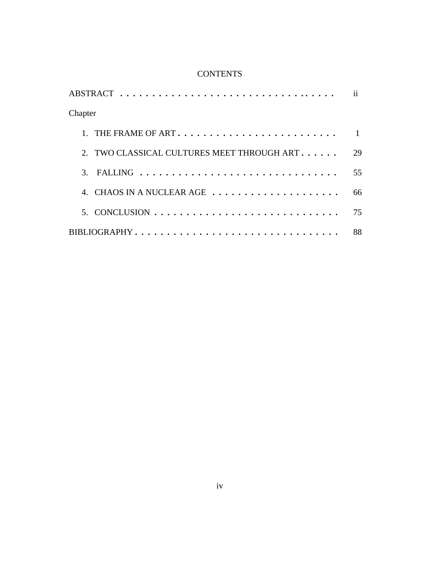# **CONTENTS**

|                                                                                | ii |
|--------------------------------------------------------------------------------|----|
| Chapter                                                                        |    |
| THE FRAME OF ART                                                               |    |
| 2. TWO CLASSICAL CULTURES MEET THROUGH ART                                     | 29 |
| 3. FALLING $\ldots \ldots \ldots \ldots \ldots \ldots \ldots \ldots \ldots$    | 55 |
| 4. CHAOS IN A NUCLEAR AGE                                                      | 66 |
| 5. CONCLUSION $\ldots \ldots \ldots \ldots \ldots \ldots \ldots \ldots \ldots$ | 75 |
| BIBLIOGRAPHY                                                                   | 88 |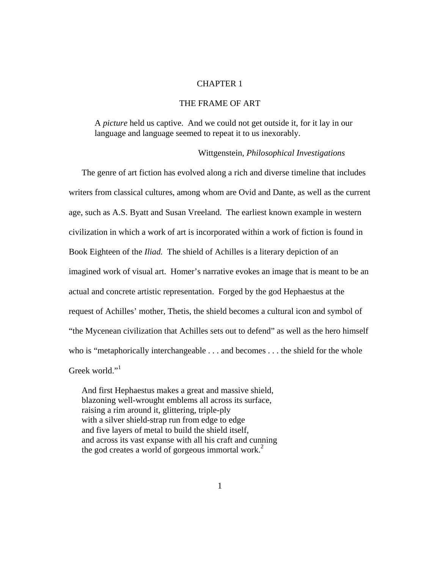### CHAPTER 1

### THE FRAME OF ART

A *picture* held us captive. And we could not get outside it, for it lay in our language and language seemed to repeat it to us inexorably.

#### Wittgenstein, *Philosophical Investigations*

The genre of art fiction has evolved along a rich and diverse timeline that includes writers from classical cultures, among whom are Ovid and Dante, as well as the current age, such as A.S. Byatt and Susan Vreeland. The earliest known example in western civilization in which a work of art is incorporated within a work of fiction is found in Book Eighteen of the *Iliad.* The shield of Achilles is a literary depiction of an imagined work of visual art. Homer's narrative evokes an image that is meant to be an actual and concrete artistic representation. Forged by the god Hephaestus at the request of Achilles' mother, Thetis, the shield becomes a cultural icon and symbol of "the Mycenean civilization that Achilles sets out to defend" as well as the hero himself who is "metaphorically interchangeable . . . and becomes . . . the shield for the whole Greek world."<sup>1</sup>

And first Hephaestus makes a great and massive shield, blazoning well-wrought emblems all across its surface, raising a rim around it, glittering, triple-ply with a silver shield-strap run from edge to edge and five layers of metal to build the shield itself, and across its vast expanse with all his craft and cunning the god creates a world of gorgeous immortal work.<sup>2</sup>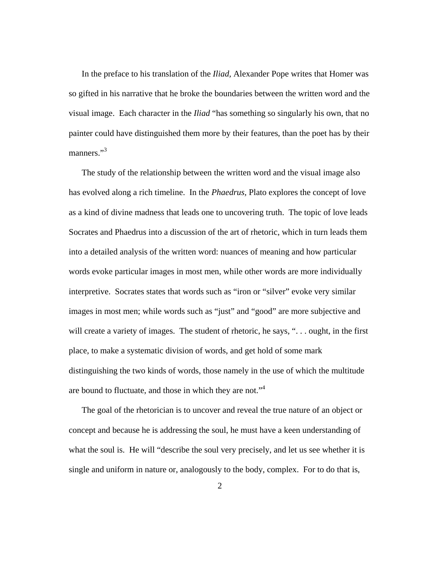In the preface to his translation of the *Iliad,* Alexander Pope writes that Homer was so gifted in his narrative that he broke the boundaries between the written word and the visual image. Each character in the *Iliad* "has something so singularly his own, that no painter could have distinguished them more by their features, than the poet has by their manners."<sup>3</sup>

The study of the relationship between the written word and the visual image also has evolved along a rich timeline. In the *Phaedrus,* Plato explores the concept of love as a kind of divine madness that leads one to uncovering truth. The topic of love leads Socrates and Phaedrus into a discussion of the art of rhetoric, which in turn leads them into a detailed analysis of the written word: nuances of meaning and how particular words evoke particular images in most men, while other words are more individually interpretive. Socrates states that words such as "iron or "silver" evoke very similar images in most men; while words such as "just" and "good" are more subjective and will create a variety of images. The student of rhetoric, he says, "... ought, in the first place, to make a systematic division of words, and get hold of some mark distinguishing the two kinds of words, those namely in the use of which the multitude are bound to fluctuate, and those in which they are not."<sup>4</sup>

The goal of the rhetorician is to uncover and reveal the true nature of an object or concept and because he is addressing the soul, he must have a keen understanding of what the soul is. He will "describe the soul very precisely, and let us see whether it is single and uniform in nature or, analogously to the body, complex. For to do that is,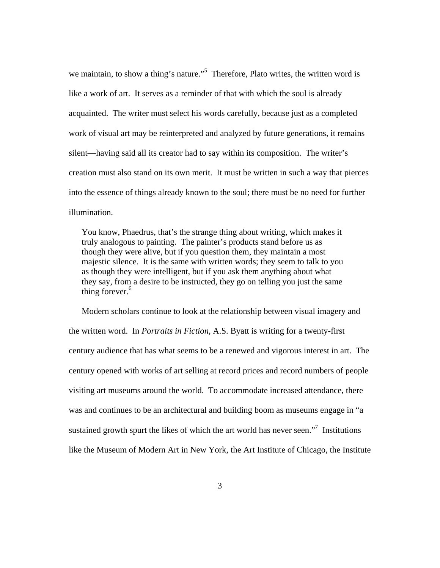we maintain, to show a thing's nature."<sup>5</sup> Therefore, Plato writes, the written word is like a work of art. It serves as a reminder of that with which the soul is already acquainted. The writer must select his words carefully, because just as a completed work of visual art may be reinterpreted and analyzed by future generations, it remains silent—having said all its creator had to say within its composition. The writer's creation must also stand on its own merit. It must be written in such a way that pierces into the essence of things already known to the soul; there must be no need for further illumination.

You know, Phaedrus, that's the strange thing about writing, which makes it truly analogous to painting. The painter's products stand before us as though they were alive, but if you question them, they maintain a most majestic silence. It is the same with written words; they seem to talk to you as though they were intelligent, but if you ask them anything about what they say, from a desire to be instructed, they go on telling you just the same thing forever.<sup>6</sup>

Modern scholars continue to look at the relationship between visual imagery and the written word. In *Portraits in Fiction*, A.S. Byatt is writing for a twenty-first century audience that has what seems to be a renewed and vigorous interest in art. The century opened with works of art selling at record prices and record numbers of people visiting art museums around the world. To accommodate increased attendance, there was and continues to be an architectural and building boom as museums engage in "a sustained growth spurt the likes of which the art world has never seen."<sup>7</sup> Institutions like the Museum of Modern Art in New York, the Art Institute of Chicago, the Institute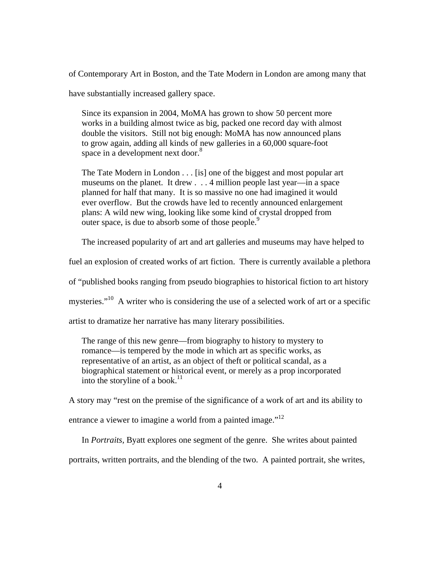of Contemporary Art in Boston, and the Tate Modern in London are among many that

have substantially increased gallery space.

Since its expansion in 2004, MoMA has grown to show 50 percent more works in a building almost twice as big, packed one record day with almost double the visitors. Still not big enough: MoMA has now announced plans to grow again, adding all kinds of new galleries in a 60,000 square-foot space in a development next door.<sup>8</sup>

The Tate Modern in London . . . [is] one of the biggest and most popular art museums on the planet. It drew . . . 4 million people last year—in a space planned for half that many. It is so massive no one had imagined it would ever overflow. But the crowds have led to recently announced enlargement plans: A wild new wing, looking like some kind of crystal dropped from outer space, is due to absorb some of those people.<sup>9</sup>

The increased popularity of art and art galleries and museums may have helped to

fuel an explosion of created works of art fiction. There is currently available a plethora

of "published books ranging from pseudo biographies to historical fiction to art history

mysteries."<sup>10</sup> A writer who is considering the use of a selected work of art or a specific

artist to dramatize her narrative has many literary possibilities.

The range of this new genre—from biography to history to mystery to romance—is tempered by the mode in which art as specific works, as representative of an artist, as an object of theft or political scandal, as a biographical statement or historical event, or merely as a prop incorporated into the storyline of a book.<sup>11</sup>

A story may "rest on the premise of the significance of a work of art and its ability to entrance a viewer to imagine a world from a painted image."<sup>12</sup>

In *Portraits,* Byatt explores one segment of the genre. She writes about painted

portraits, written portraits, and the blending of the two. A painted portrait, she writes,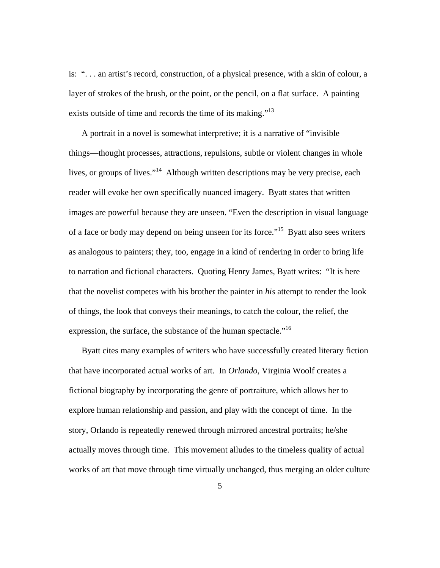is: ". . . an artist's record, construction, of a physical presence, with a skin of colour, a layer of strokes of the brush, or the point, or the pencil, on a flat surface. A painting exists outside of time and records the time of its making."<sup>13</sup>

A portrait in a novel is somewhat interpretive; it is a narrative of "invisible things—thought processes, attractions, repulsions, subtle or violent changes in whole lives, or groups of lives."14 Although written descriptions may be very precise, each reader will evoke her own specifically nuanced imagery. Byatt states that written images are powerful because they are unseen. "Even the description in visual language of a face or body may depend on being unseen for its force."15 Byatt also sees writers as analogous to painters; they, too, engage in a kind of rendering in order to bring life to narration and fictional characters. Quoting Henry James, Byatt writes: "It is here that the novelist competes with his brother the painter in *his* attempt to render the look of things, the look that conveys their meanings, to catch the colour, the relief, the expression, the surface, the substance of the human spectacle."<sup>16</sup>

Byatt cites many examples of writers who have successfully created literary fiction that have incorporated actual works of art. In *Orlando*, Virginia Woolf creates a fictional biography by incorporating the genre of portraiture, which allows her to explore human relationship and passion, and play with the concept of time. In the story, Orlando is repeatedly renewed through mirrored ancestral portraits; he/she actually moves through time. This movement alludes to the timeless quality of actual works of art that move through time virtually unchanged, thus merging an older culture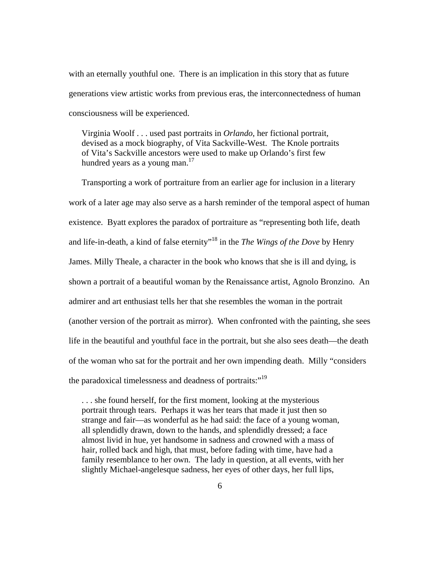with an eternally youthful one. There is an implication in this story that as future generations view artistic works from previous eras, the interconnectedness of human consciousness will be experienced.

Virginia Woolf . . . used past portraits in *Orlando*, her fictional portrait, devised as a mock biography, of Vita Sackville-West. The Knole portraits of Vita's Sackville ancestors were used to make up Orlando's first few hundred years as a young man. $17$ 

Transporting a work of portraiture from an earlier age for inclusion in a literary work of a later age may also serve as a harsh reminder of the temporal aspect of human existence. Byatt explores the paradox of portraiture as "representing both life, death and life-in-death, a kind of false eternity"18 in the *The Wings of the Dove* by Henry James. Milly Theale, a character in the book who knows that she is ill and dying, is shown a portrait of a beautiful woman by the Renaissance artist, Agnolo Bronzino. An admirer and art enthusiast tells her that she resembles the woman in the portrait (another version of the portrait as mirror). When confronted with the painting, she sees life in the beautiful and youthful face in the portrait, but she also sees death—the death of the woman who sat for the portrait and her own impending death. Milly "considers the paradoxical timelessness and deadness of portraits:"<sup>19</sup>

. . . she found herself, for the first moment, looking at the mysterious portrait through tears. Perhaps it was her tears that made it just then so strange and fair—as wonderful as he had said: the face of a young woman, all splendidly drawn, down to the hands, and splendidly dressed; a face almost livid in hue, yet handsome in sadness and crowned with a mass of hair, rolled back and high, that must, before fading with time, have had a family resemblance to her own. The lady in question, at all events, with her slightly Michael-angelesque sadness, her eyes of other days, her full lips,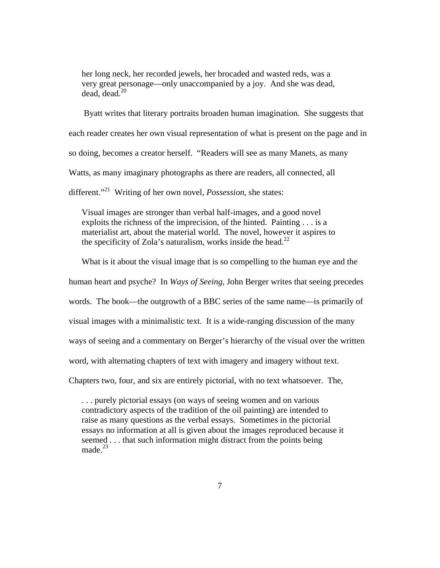her long neck, her recorded jewels, her brocaded and wasted reds, was a very great personage—only unaccompanied by a joy. And she was dead, dead, dead. $20$ 

 Byatt writes that literary portraits broaden human imagination. She suggests that each reader creates her own visual representation of what is present on the page and in so doing, becomes a creator herself. "Readers will see as many Manets, as many Watts, as many imaginary photographs as there are readers, all connected, all different."<sup>21</sup> Writing of her own novel, *Possession*, she states:

Visual images are stronger than verbal half-images, and a good novel exploits the richness of the imprecision, of the hinted. Painting . . . is a materialist art, about the material world. The novel, however it aspires to the specificity of Zola's naturalism, works inside the head.<sup>22</sup>

What is it about the visual image that is so compelling to the human eye and the

human heart and psyche? In *Ways of Seeing,* John Berger writes that seeing precedes

words. The book—the outgrowth of a BBC series of the same name—is primarily of

visual images with a minimalistic text. It is a wide-ranging discussion of the many

ways of seeing and a commentary on Berger's hierarchy of the visual over the written

word, with alternating chapters of text with imagery and imagery without text.

Chapters two, four, and six are entirely pictorial, with no text whatsoever. The,

. . . purely pictorial essays (on ways of seeing women and on various contradictory aspects of the tradition of the oil painting) are intended to raise as many questions as the verbal essays. Sometimes in the pictorial essays no information at all is given about the images reproduced because it seemed . . . that such information might distract from the points being made.<sup>23</sup>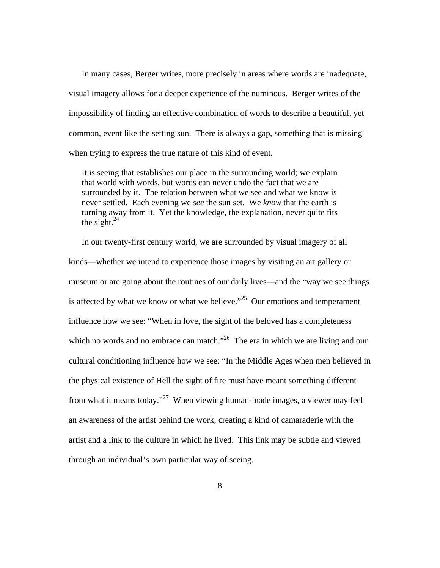In many cases, Berger writes, more precisely in areas where words are inadequate, visual imagery allows for a deeper experience of the numinous. Berger writes of the impossibility of finding an effective combination of words to describe a beautiful, yet common, event like the setting sun. There is always a gap, something that is missing when trying to express the true nature of this kind of event.

It is seeing that establishes our place in the surrounding world; we explain that world with words, but words can never undo the fact that we are surrounded by it. The relation between what we see and what we know is never settled. Each evening we *see* the sun set. We *know* that the earth is turning away from it. Yet the knowledge, the explanation, never quite fits the sight. $^{24}$ 

In our twenty-first century world, we are surrounded by visual imagery of all kinds—whether we intend to experience those images by visiting an art gallery or museum or are going about the routines of our daily lives—and the "way we see things is affected by what we know or what we believe. $125$  Our emotions and temperament influence how we see: "When in love, the sight of the beloved has a completeness which no words and no embrace can match."<sup>26</sup> The era in which we are living and our cultural conditioning influence how we see: "In the Middle Ages when men believed in the physical existence of Hell the sight of fire must have meant something different from what it means today."<sup>27</sup> When viewing human-made images, a viewer may feel an awareness of the artist behind the work, creating a kind of camaraderie with the artist and a link to the culture in which he lived. This link may be subtle and viewed through an individual's own particular way of seeing.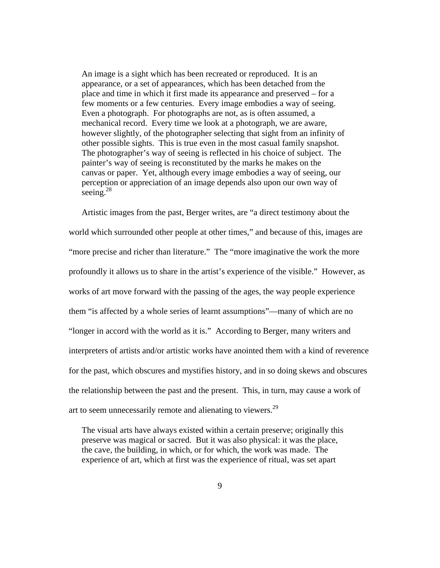An image is a sight which has been recreated or reproduced. It is an appearance, or a set of appearances, which has been detached from the place and time in which it first made its appearance and preserved – for a few moments or a few centuries. Every image embodies a way of seeing. Even a photograph. For photographs are not, as is often assumed, a mechanical record. Every time we look at a photograph, we are aware, however slightly, of the photographer selecting that sight from an infinity of other possible sights. This is true even in the most casual family snapshot. The photographer's way of seeing is reflected in his choice of subject. The painter's way of seeing is reconstituted by the marks he makes on the canvas or paper. Yet, although every image embodies a way of seeing, our perception or appreciation of an image depends also upon our own way of seeing. $^{28}$ 

Artistic images from the past, Berger writes, are "a direct testimony about the world which surrounded other people at other times," and because of this, images are "more precise and richer than literature." The "more imaginative the work the more profoundly it allows us to share in the artist's experience of the visible." However, as works of art move forward with the passing of the ages, the way people experience them "is affected by a whole series of learnt assumptions"—many of which are no "longer in accord with the world as it is." According to Berger, many writers and interpreters of artists and/or artistic works have anointed them with a kind of reverence for the past, which obscures and mystifies history, and in so doing skews and obscures the relationship between the past and the present. This, in turn, may cause a work of art to seem unnecessarily remote and alienating to viewers.<sup>29</sup>

The visual arts have always existed within a certain preserve; originally this preserve was magical or sacred. But it was also physical: it was the place, the cave, the building, in which, or for which, the work was made. The experience of art, which at first was the experience of ritual, was set apart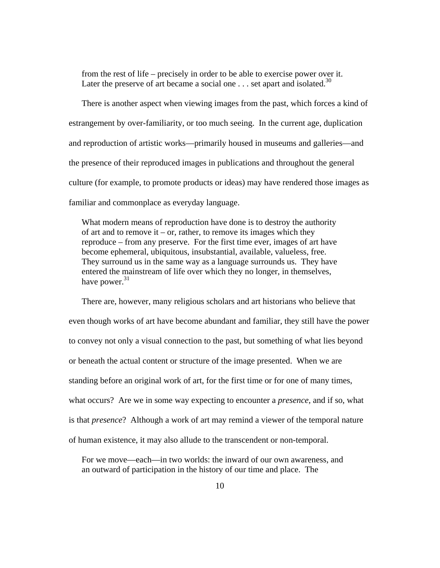from the rest of life – precisely in order to be able to exercise power over it. Later the preserve of art became a social one  $\dots$  set apart and isolated.<sup>30</sup>

There is another aspect when viewing images from the past, which forces a kind of estrangement by over-familiarity, or too much seeing. In the current age, duplication and reproduction of artistic works—primarily housed in museums and galleries—and the presence of their reproduced images in publications and throughout the general culture (for example, to promote products or ideas) may have rendered those images as familiar and commonplace as everyday language.

What modern means of reproduction have done is to destroy the authority of art and to remove it – or, rather, to remove its images which they reproduce – from any preserve. For the first time ever, images of art have become ephemeral, ubiquitous, insubstantial, available, valueless, free. They surround us in the same way as a language surrounds us. They have entered the mainstream of life over which they no longer, in themselves, have power. $31$ 

There are, however, many religious scholars and art historians who believe that even though works of art have become abundant and familiar, they still have the power to convey not only a visual connection to the past, but something of what lies beyond or beneath the actual content or structure of the image presented. When we are standing before an original work of art, for the first time or for one of many times, what occurs? Are we in some way expecting to encounter a *presence,* and if so, what is that *presence*? Although a work of art may remind a viewer of the temporal nature of human existence, it may also allude to the transcendent or non-temporal.

For we move—each—in two worlds: the inward of our own awareness, and an outward of participation in the history of our time and place. The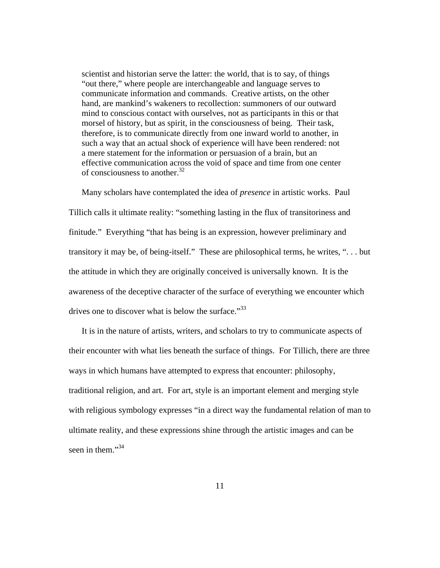scientist and historian serve the latter: the world, that is to say, of things "out there," where people are interchangeable and language serves to communicate information and commands. Creative artists, on the other hand, are mankind's wakeners to recollection: summoners of our outward mind to conscious contact with ourselves, not as participants in this or that morsel of history, but as spirit, in the consciousness of being. Their task, therefore, is to communicate directly from one inward world to another, in such a way that an actual shock of experience will have been rendered: not a mere statement for the information or persuasion of a brain, but an effective communication across the void of space and time from one center of consciousness to another. $32$ 

Many scholars have contemplated the idea of *presence* in artistic works. Paul Tillich calls it ultimate reality: "something lasting in the flux of transitoriness and finitude." Everything "that has being is an expression, however preliminary and transitory it may be, of being-itself." These are philosophical terms, he writes, ". . . but the attitude in which they are originally conceived is universally known. It is the awareness of the deceptive character of the surface of everything we encounter which drives one to discover what is below the surface."<sup>33</sup>

It is in the nature of artists, writers, and scholars to try to communicate aspects of their encounter with what lies beneath the surface of things. For Tillich, there are three ways in which humans have attempted to express that encounter: philosophy, traditional religion, and art. For art, style is an important element and merging style with religious symbology expresses "in a direct way the fundamental relation of man to ultimate reality, and these expressions shine through the artistic images and can be seen in them." $34$ 

11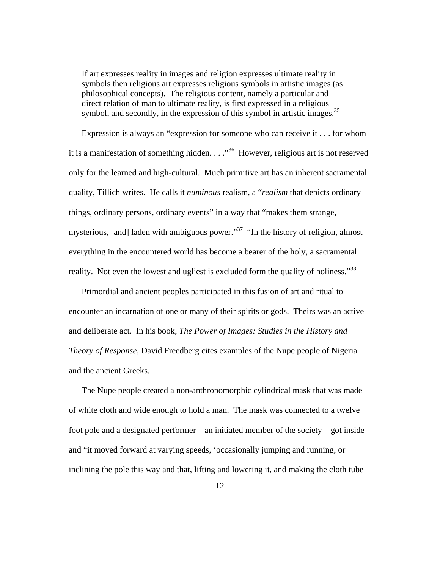If art expresses reality in images and religion expresses ultimate reality in symbols then religious art expresses religious symbols in artistic images (as philosophical concepts). The religious content, namely a particular and direct relation of man to ultimate reality, is first expressed in a religious symbol, and secondly, in the expression of this symbol in artistic images.<sup>35</sup>

Expression is always an "expression for someone who can receive it . . . for whom it is a manifestation of something hidden.  $\ldots$ <sup>36</sup> However, religious art is not reserved only for the learned and high-cultural. Much primitive art has an inherent sacramental quality, Tillich writes. He calls it *numinous* realism, a "*realism* that depicts ordinary things, ordinary persons, ordinary events" in a way that "makes them strange, mysterious, [and] laden with ambiguous power."<sup>37</sup> "In the history of religion, almost everything in the encountered world has become a bearer of the holy, a sacramental reality. Not even the lowest and ugliest is excluded form the quality of holiness."<sup>38</sup>

Primordial and ancient peoples participated in this fusion of art and ritual to encounter an incarnation of one or many of their spirits or gods. Theirs was an active and deliberate act. In his book, *The Power of Images: Studies in the History and Theory of Response,* David Freedberg cites examples of the Nupe people of Nigeria and the ancient Greeks.

The Nupe people created a non-anthropomorphic cylindrical mask that was made of white cloth and wide enough to hold a man. The mask was connected to a twelve foot pole and a designated performer—an initiated member of the society—got inside and "it moved forward at varying speeds, 'occasionally jumping and running, or inclining the pole this way and that, lifting and lowering it, and making the cloth tube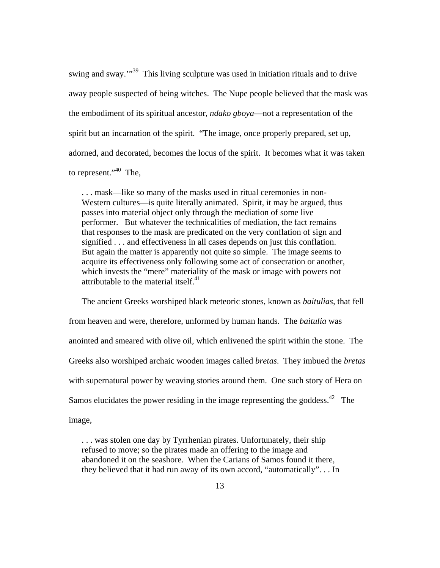swing and sway.<sup>"39</sup> This living sculpture was used in initiation rituals and to drive away people suspected of being witches. The Nupe people believed that the mask was the embodiment of its spiritual ancestor, *ndako gboya*—not a representation of the spirit but an incarnation of the spirit. "The image, once properly prepared, set up, adorned, and decorated, becomes the locus of the spirit. It becomes what it was taken to represent." $40$  The,

. . . mask—like so many of the masks used in ritual ceremonies in non-Western cultures—is quite literally animated. Spirit, it may be argued, thus passes into material object only through the mediation of some live performer. But whatever the technicalities of mediation, the fact remains that responses to the mask are predicated on the very conflation of sign and signified . . . and effectiveness in all cases depends on just this conflation. But again the matter is apparently not quite so simple. The image seems to acquire its effectiveness only following some act of consecration or another, which invests the "mere" materiality of the mask or image with powers not attributable to the material itself. $41$ 

The ancient Greeks worshiped black meteoric stones, known as *baitulias,* that fell from heaven and were, therefore, unformed by human hands. The *baitulia* was anointed and smeared with olive oil, which enlivened the spirit within the stone. The Greeks also worshiped archaic wooden images called *bretas*. They imbued the *bretas* with supernatural power by weaving stories around them. One such story of Hera on Samos elucidates the power residing in the image representing the goddess.<sup>42</sup> The image,

. . . was stolen one day by Tyrrhenian pirates. Unfortunately, their ship refused to move; so the pirates made an offering to the image and abandoned it on the seashore. When the Carians of Samos found it there, they believed that it had run away of its own accord, "automatically". . . In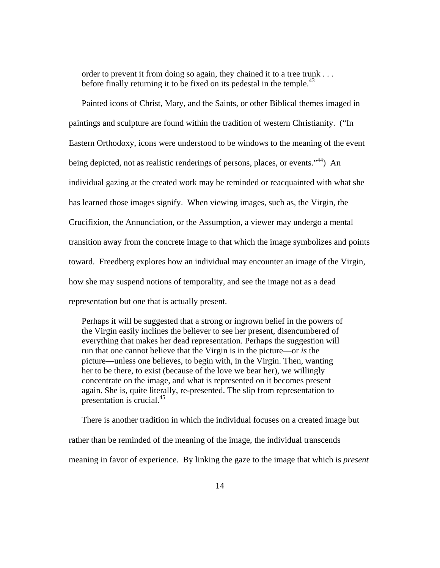order to prevent it from doing so again, they chained it to a tree trunk . . . before finally returning it to be fixed on its pedestal in the temple.<sup>43</sup>

Painted icons of Christ, Mary, and the Saints, or other Biblical themes imaged in paintings and sculpture are found within the tradition of western Christianity. ("In Eastern Orthodoxy, icons were understood to be windows to the meaning of the event being depicted, not as realistic renderings of persons, places, or events."<sup>44</sup>) An individual gazing at the created work may be reminded or reacquainted with what she has learned those images signify. When viewing images, such as, the Virgin, the Crucifixion, the Annunciation, or the Assumption, a viewer may undergo a mental transition away from the concrete image to that which the image symbolizes and points toward. Freedberg explores how an individual may encounter an image of the Virgin, how she may suspend notions of temporality, and see the image not as a dead representation but one that is actually present.

Perhaps it will be suggested that a strong or ingrown belief in the powers of the Virgin easily inclines the believer to see her present, disencumbered of everything that makes her dead representation. Perhaps the suggestion will run that one cannot believe that the Virgin is in the picture—or *is* the picture—unless one believes, to begin with, in the Virgin. Then, wanting her to be there, to exist (because of the love we bear her), we willingly concentrate on the image, and what is represented on it becomes present again. She is, quite literally, re-presented. The slip from representation to presentation is crucial.<sup>45</sup>

There is another tradition in which the individual focuses on a created image but rather than be reminded of the meaning of the image, the individual transcends meaning in favor of experience. By linking the gaze to the image that which is *present*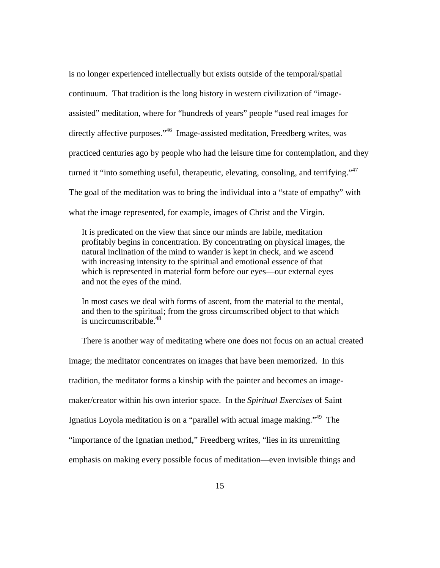is no longer experienced intellectually but exists outside of the temporal/spatial continuum. That tradition is the long history in western civilization of "imageassisted" meditation, where for "hundreds of years" people "used real images for directly affective purposes."<sup>46</sup> Image-assisted meditation, Freedberg writes, was practiced centuries ago by people who had the leisure time for contemplation, and they turned it "into something useful, therapeutic, elevating, consoling, and terrifying."<sup>47</sup> The goal of the meditation was to bring the individual into a "state of empathy" with what the image represented, for example, images of Christ and the Virgin.

It is predicated on the view that since our minds are labile, meditation profitably begins in concentration. By concentrating on physical images, the natural inclination of the mind to wander is kept in check, and we ascend with increasing intensity to the spiritual and emotional essence of that which is represented in material form before our eyes—our external eyes and not the eyes of the mind.

In most cases we deal with forms of ascent, from the material to the mental, and then to the spiritual; from the gross circumscribed object to that which is uncircumscribable. $48$ 

There is another way of meditating where one does not focus on an actual created image; the meditator concentrates on images that have been memorized. In this tradition, the meditator forms a kinship with the painter and becomes an imagemaker/creator within his own interior space. In the *Spiritual Exercises* of Saint Ignatius Loyola meditation is on a "parallel with actual image making."<sup>49</sup> The "importance of the Ignatian method," Freedberg writes, "lies in its unremitting emphasis on making every possible focus of meditation—even invisible things and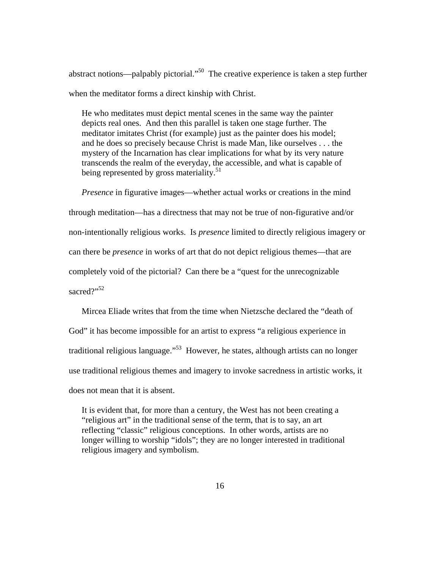abstract notions—palpably pictorial. $^{50}$  The creative experience is taken a step further when the meditator forms a direct kinship with Christ.

He who meditates must depict mental scenes in the same way the painter depicts real ones. And then this parallel is taken one stage further. The meditator imitates Christ (for example) just as the painter does his model; and he does so precisely because Christ is made Man, like ourselves . . . the mystery of the Incarnation has clear implications for what by its very nature transcends the realm of the everyday, the accessible, and what is capable of being represented by gross materiality.<sup>51</sup>

*Presence* in figurative images—whether actual works or creations in the mind through meditation—has a directness that may not be true of non-figurative and/or non-intentionally religious works. Is *presence* limited to directly religious imagery or can there be *presence* in works of art that do not depict religious themes—that are completely void of the pictorial? Can there be a "quest for the unrecognizable sacred?"<sup>52</sup>

Mircea Eliade writes that from the time when Nietzsche declared the "death of God" it has become impossible for an artist to express "a religious experience in traditional religious language."<sup>53</sup> However, he states, although artists can no longer use traditional religious themes and imagery to invoke sacredness in artistic works, it does not mean that it is absent.

It is evident that, for more than a century, the West has not been creating a "religious art" in the traditional sense of the term, that is to say, an art reflecting "classic" religious conceptions. In other words, artists are no longer willing to worship "idols"; they are no longer interested in traditional religious imagery and symbolism.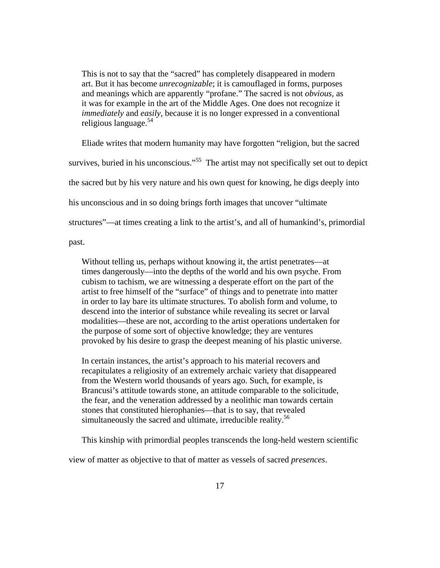This is not to say that the "sacred" has completely disappeared in modern art. But it has become *unrecognizable*; it is camouflaged in forms, purposes and meanings which are apparently "profane." The sacred is not *obvious,* as it was for example in the art of the Middle Ages. One does not recognize it *immediately* and *easily,* because it is no longer expressed in a conventional religious language.<sup>54</sup>

Eliade writes that modern humanity may have forgotten "religion, but the sacred survives, buried in his unconscious."<sup>55</sup> The artist may not specifically set out to depict the sacred but by his very nature and his own quest for knowing, he digs deeply into his unconscious and in so doing brings forth images that uncover "ultimate structures"—at times creating a link to the artist's, and all of humankind's, primordial

past.

Without telling us, perhaps without knowing it, the artist penetrates—at times dangerously—into the depths of the world and his own psyche. From cubism to tachism, we are witnessing a desperate effort on the part of the artist to free himself of the "surface" of things and to penetrate into matter in order to lay bare its ultimate structures. To abolish form and volume, to descend into the interior of substance while revealing its secret or larval modalities—these are not, according to the artist operations undertaken for the purpose of some sort of objective knowledge; they are ventures provoked by his desire to grasp the deepest meaning of his plastic universe.

In certain instances, the artist's approach to his material recovers and recapitulates a religiosity of an extremely archaic variety that disappeared from the Western world thousands of years ago. Such, for example, is Brancusi's attitude towards stone, an attitude comparable to the solicitude, the fear, and the veneration addressed by a neolithic man towards certain stones that constituted hierophanies—that is to say, that revealed simultaneously the sacred and ultimate, irreducible reality.<sup>56</sup>

This kinship with primordial peoples transcends the long-held western scientific

view of matter as objective to that of matter as vessels of sacred *presences*.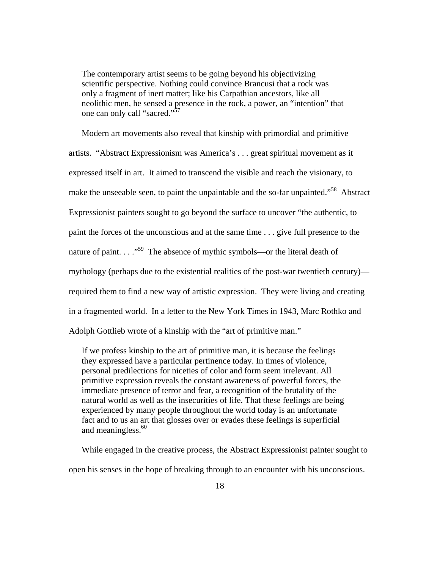The contemporary artist seems to be going beyond his objectivizing scientific perspective. Nothing could convince Brancusi that a rock was only a fragment of inert matter; like his Carpathian ancestors, like all neolithic men, he sensed a presence in the rock, a power, an "intention" that one can only call "sacred."<sup>57</sup>

Modern art movements also reveal that kinship with primordial and primitive artists. "Abstract Expressionism was America's . . . great spiritual movement as it expressed itself in art. It aimed to transcend the visible and reach the visionary, to make the unseeable seen, to paint the unpaintable and the so-far unpainted."<sup>58</sup> Abstract Expressionist painters sought to go beyond the surface to uncover "the authentic, to paint the forces of the unconscious and at the same time . . . give full presence to the nature of paint.  $\ldots$ <sup>59</sup> The absence of mythic symbols—or the literal death of mythology (perhaps due to the existential realities of the post-war twentieth century) required them to find a new way of artistic expression. They were living and creating in a fragmented world. In a letter to the New York Times in 1943, Marc Rothko and Adolph Gottlieb wrote of a kinship with the "art of primitive man."

If we profess kinship to the art of primitive man, it is because the feelings they expressed have a particular pertinence today. In times of violence, personal predilections for niceties of color and form seem irrelevant. All primitive expression reveals the constant awareness of powerful forces, the immediate presence of terror and fear, a recognition of the brutality of the natural world as well as the insecurities of life. That these feelings are being experienced by many people throughout the world today is an unfortunate fact and to us an art that glosses over or evades these feelings is superficial and meaningless.<sup>60</sup>

While engaged in the creative process, the Abstract Expressionist painter sought to open his senses in the hope of breaking through to an encounter with his unconscious.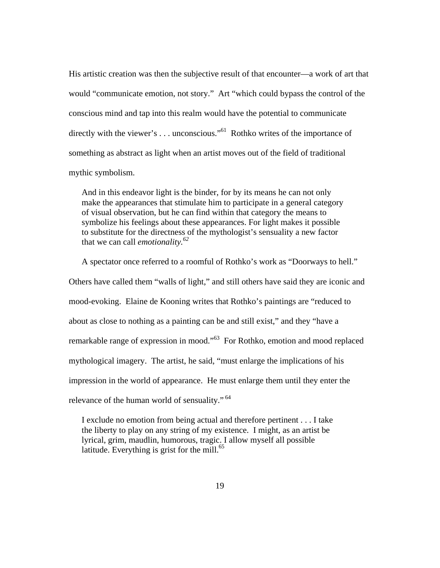His artistic creation was then the subjective result of that encounter—a work of art that would "communicate emotion, not story." Art "which could bypass the control of the conscious mind and tap into this realm would have the potential to communicate directly with the viewer's ... unconscious."<sup>61</sup> Rothko writes of the importance of something as abstract as light when an artist moves out of the field of traditional mythic symbolism.

And in this endeavor light is the binder, for by its means he can not only make the appearances that stimulate him to participate in a general category of visual observation, but he can find within that category the means to symbolize his feelings about these appearances. For light makes it possible to substitute for the directness of the mythologist's sensuality a new factor that we can call *emotionality.62*

A spectator once referred to a roomful of Rothko's work as "Doorways to hell." Others have called them "walls of light," and still others have said they are iconic and mood-evoking. Elaine de Kooning writes that Rothko's paintings are "reduced to about as close to nothing as a painting can be and still exist," and they "have a remarkable range of expression in mood."63 For Rothko, emotion and mood replaced mythological imagery. The artist, he said, "must enlarge the implications of his impression in the world of appearance. He must enlarge them until they enter the relevance of the human world of sensuality."<sup>64</sup>

I exclude no emotion from being actual and therefore pertinent . . . I take the liberty to play on any string of my existence. I might, as an artist be lyrical, grim, maudlin, humorous, tragic. I allow myself all possible latitude. Everything is grist for the mill. $^{65}$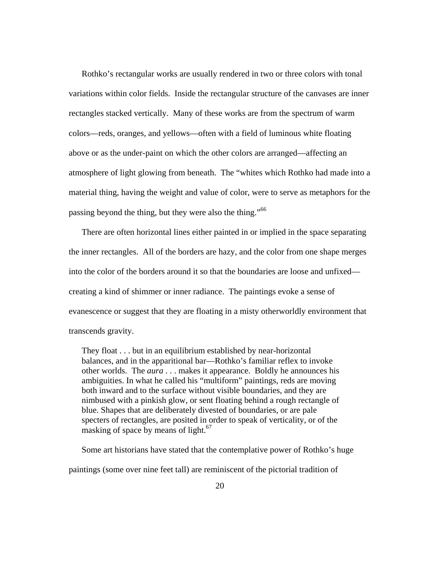Rothko's rectangular works are usually rendered in two or three colors with tonal variations within color fields. Inside the rectangular structure of the canvases are inner rectangles stacked vertically. Many of these works are from the spectrum of warm colors—reds, oranges, and yellows—often with a field of luminous white floating above or as the under-paint on which the other colors are arranged—affecting an atmosphere of light glowing from beneath. The "whites which Rothko had made into a material thing, having the weight and value of color, were to serve as metaphors for the passing beyond the thing, but they were also the thing."<sup>66</sup>

There are often horizontal lines either painted in or implied in the space separating the inner rectangles. All of the borders are hazy, and the color from one shape merges into the color of the borders around it so that the boundaries are loose and unfixed creating a kind of shimmer or inner radiance. The paintings evoke a sense of evanescence or suggest that they are floating in a misty otherworldly environment that transcends gravity.

They float . . . but in an equilibrium established by near-horizontal balances, and in the apparitional bar—Rothko's familiar reflex to invoke other worlds. The *aura* . . . makes it appearance. Boldly he announces his ambiguities. In what he called his "multiform" paintings, reds are moving both inward and to the surface without visible boundaries, and they are nimbused with a pinkish glow, or sent floating behind a rough rectangle of blue. Shapes that are deliberately divested of boundaries, or are pale specters of rectangles, are posited in order to speak of verticality, or of the masking of space by means of light.<sup>67</sup>

Some art historians have stated that the contemplative power of Rothko's huge paintings (some over nine feet tall) are reminiscent of the pictorial tradition of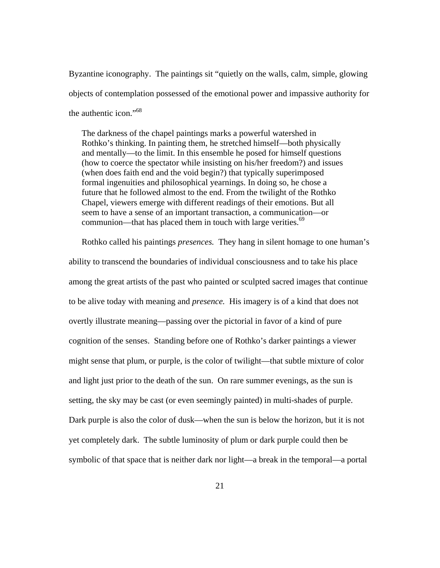Byzantine iconography. The paintings sit "quietly on the walls, calm, simple, glowing objects of contemplation possessed of the emotional power and impassive authority for the authentic icon."<sup>68</sup>

The darkness of the chapel paintings marks a powerful watershed in Rothko's thinking. In painting them, he stretched himself—both physically and mentally—to the limit. In this ensemble he posed for himself questions (how to coerce the spectator while insisting on his/her freedom?) and issues (when does faith end and the void begin?) that typically superimposed formal ingenuities and philosophical yearnings. In doing so, he chose a future that he followed almost to the end. From the twilight of the Rothko Chapel, viewers emerge with different readings of their emotions. But all seem to have a sense of an important transaction, a communication—or communion—that has placed them in touch with large verities. $69$ 

Rothko called his paintings *presences.* They hang in silent homage to one human's ability to transcend the boundaries of individual consciousness and to take his place among the great artists of the past who painted or sculpted sacred images that continue to be alive today with meaning and *presence.* His imagery is of a kind that does not overtly illustrate meaning—passing over the pictorial in favor of a kind of pure cognition of the senses. Standing before one of Rothko's darker paintings a viewer might sense that plum, or purple, is the color of twilight—that subtle mixture of color and light just prior to the death of the sun. On rare summer evenings, as the sun is setting, the sky may be cast (or even seemingly painted) in multi-shades of purple. Dark purple is also the color of dusk—when the sun is below the horizon, but it is not yet completely dark. The subtle luminosity of plum or dark purple could then be symbolic of that space that is neither dark nor light—a break in the temporal—a portal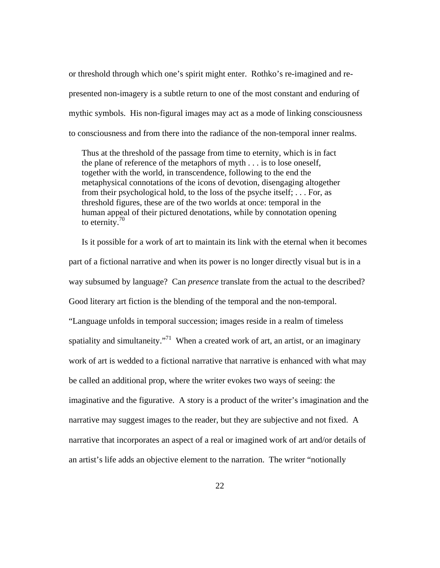or threshold through which one's spirit might enter. Rothko's re-imagined and represented non-imagery is a subtle return to one of the most constant and enduring of mythic symbols. His non-figural images may act as a mode of linking consciousness to consciousness and from there into the radiance of the non-temporal inner realms.

Thus at the threshold of the passage from time to eternity, which is in fact the plane of reference of the metaphors of myth . . . is to lose oneself, together with the world, in transcendence, following to the end the metaphysical connotations of the icons of devotion, disengaging altogether from their psychological hold, to the loss of the psyche itself; . . . For, as threshold figures, these are of the two worlds at once: temporal in the human appeal of their pictured denotations, while by connotation opening to eternity.70

Is it possible for a work of art to maintain its link with the eternal when it becomes part of a fictional narrative and when its power is no longer directly visual but is in a way subsumed by language? Can *presence* translate from the actual to the described? Good literary art fiction is the blending of the temporal and the non-temporal. "Language unfolds in temporal succession; images reside in a realm of timeless spatiality and simultaneity. $171$  When a created work of art, an artist, or an imaginary work of art is wedded to a fictional narrative that narrative is enhanced with what may be called an additional prop, where the writer evokes two ways of seeing: the imaginative and the figurative. A story is a product of the writer's imagination and the narrative may suggest images to the reader, but they are subjective and not fixed. A narrative that incorporates an aspect of a real or imagined work of art and/or details of an artist's life adds an objective element to the narration. The writer "notionally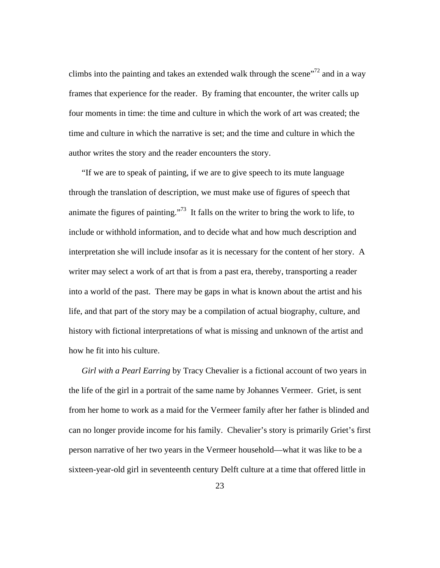climbs into the painting and takes an extended walk through the scene<sup> $12$ </sup> and in a way frames that experience for the reader. By framing that encounter, the writer calls up four moments in time: the time and culture in which the work of art was created; the time and culture in which the narrative is set; and the time and culture in which the author writes the story and the reader encounters the story.

"If we are to speak of painting, if we are to give speech to its mute language through the translation of description, we must make use of figures of speech that animate the figures of painting."<sup>73</sup> It falls on the writer to bring the work to life, to include or withhold information, and to decide what and how much description and interpretation she will include insofar as it is necessary for the content of her story. A writer may select a work of art that is from a past era, thereby, transporting a reader into a world of the past. There may be gaps in what is known about the artist and his life, and that part of the story may be a compilation of actual biography, culture, and history with fictional interpretations of what is missing and unknown of the artist and how he fit into his culture.

*Girl with a Pearl Earring* by Tracy Chevalier is a fictional account of two years in the life of the girl in a portrait of the same name by Johannes Vermeer. Griet, is sent from her home to work as a maid for the Vermeer family after her father is blinded and can no longer provide income for his family. Chevalier's story is primarily Griet's first person narrative of her two years in the Vermeer household—what it was like to be a sixteen-year-old girl in seventeenth century Delft culture at a time that offered little in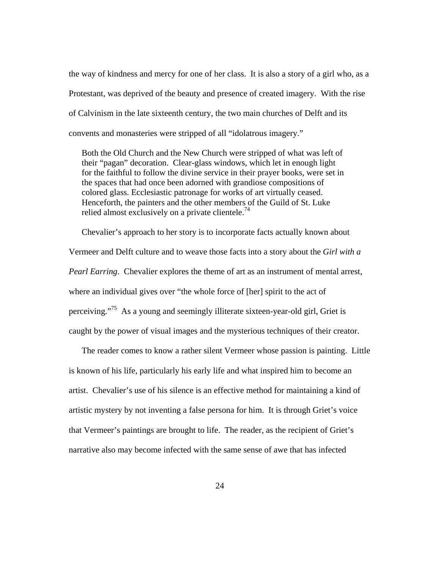the way of kindness and mercy for one of her class. It is also a story of a girl who, as a Protestant, was deprived of the beauty and presence of created imagery. With the rise of Calvinism in the late sixteenth century, the two main churches of Delft and its convents and monasteries were stripped of all "idolatrous imagery."

Both the Old Church and the New Church were stripped of what was left of their "pagan" decoration. Clear-glass windows, which let in enough light for the faithful to follow the divine service in their prayer books, were set in the spaces that had once been adorned with grandiose compositions of colored glass. Ecclesiastic patronage for works of art virtually ceased. Henceforth, the painters and the other members of the Guild of St. Luke relied almost exclusively on a private clientele.<sup>74</sup>

Chevalier's approach to her story is to incorporate facts actually known about Vermeer and Delft culture and to weave those facts into a story about the *Girl with a Pearl Earring*. Chevalier explores the theme of art as an instrument of mental arrest, where an individual gives over "the whole force of [her] spirit to the act of perceiving."<sup>75</sup> As a young and seemingly illiterate sixteen-year-old girl, Griet is caught by the power of visual images and the mysterious techniques of their creator.

The reader comes to know a rather silent Vermeer whose passion is painting. Little is known of his life, particularly his early life and what inspired him to become an artist. Chevalier's use of his silence is an effective method for maintaining a kind of artistic mystery by not inventing a false persona for him. It is through Griet's voice that Vermeer's paintings are brought to life. The reader, as the recipient of Griet's narrative also may become infected with the same sense of awe that has infected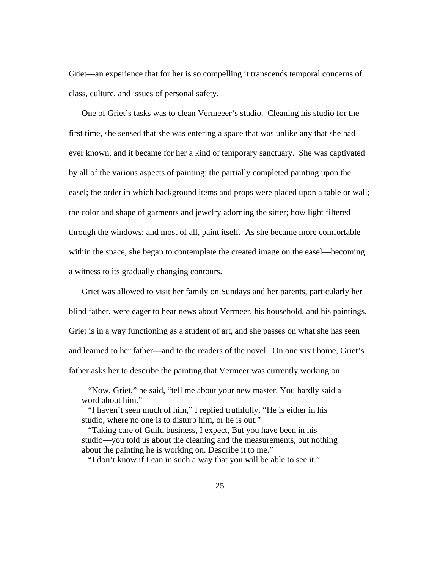Griet—an experience that for her is so compelling it transcends temporal concerns of class, culture, and issues of personal safety.

One of Griet's tasks was to clean Vermeeer's studio. Cleaning his studio for the first time, she sensed that she was entering a space that was unlike any that she had ever known, and it became for her a kind of temporary sanctuary. She was captivated by all of the various aspects of painting: the partially completed painting upon the easel; the order in which background items and props were placed upon a table or wall; the color and shape of garments and jewelry adorning the sitter; how light filtered through the windows; and most of all, paint itself. As she became more comfortable within the space, she began to contemplate the created image on the easel—becoming a witness to its gradually changing contours.

Griet was allowed to visit her family on Sundays and her parents, particularly her blind father, were eager to hear news about Vermeer, his household, and his paintings. Griet is in a way functioning as a student of art, and she passes on what she has seen and learned to her father—and to the readers of the novel. On one visit home, Griet's father asks her to describe the painting that Vermeer was currently working on.

 "Now, Griet," he said, "tell me about your new master. You hardly said a word about him."

 "I haven't seen much of him," I replied truthfully. "He is either in his studio, where no one is to disturb him, or he is out."

 "Taking care of Guild business, I expect, But you have been in his studio—you told us about the cleaning and the measurements, but nothing about the painting he is working on. Describe it to me."

"I don't know if I can in such a way that you will be able to see it."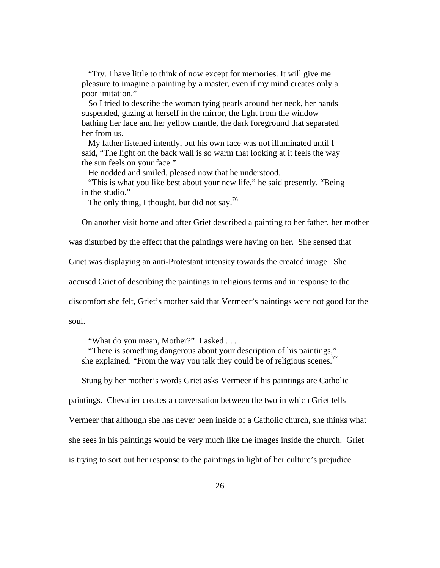"Try. I have little to think of now except for memories. It will give me pleasure to imagine a painting by a master, even if my mind creates only a poor imitation."

 So I tried to describe the woman tying pearls around her neck, her hands suspended, gazing at herself in the mirror, the light from the window bathing her face and her yellow mantle, the dark foreground that separated her from us.

 My father listened intently, but his own face was not illuminated until I said, "The light on the back wall is so warm that looking at it feels the way the sun feels on your face."

He nodded and smiled, pleased now that he understood.

 "This is what you like best about your new life," he said presently. "Being in the studio."

The only thing, I thought, but did not say.<sup>76</sup>

On another visit home and after Griet described a painting to her father, her mother

was disturbed by the effect that the paintings were having on her. She sensed that

Griet was displaying an anti-Protestant intensity towards the created image. She

accused Griet of describing the paintings in religious terms and in response to the

discomfort she felt, Griet's mother said that Vermeer's paintings were not good for the

soul.

"What do you mean, Mother?" I asked . . .

 "There is something dangerous about your description of his paintings," she explained. "From the way you talk they could be of religious scenes."

Stung by her mother's words Griet asks Vermeer if his paintings are Catholic

paintings. Chevalier creates a conversation between the two in which Griet tells

Vermeer that although she has never been inside of a Catholic church, she thinks what

she sees in his paintings would be very much like the images inside the church. Griet

is trying to sort out her response to the paintings in light of her culture's prejudice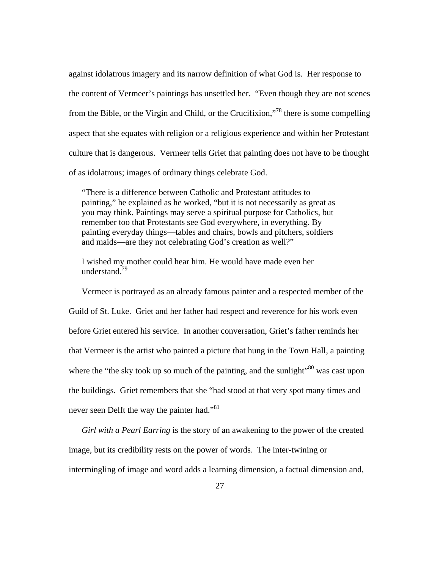against idolatrous imagery and its narrow definition of what God is. Her response to the content of Vermeer's paintings has unsettled her. "Even though they are not scenes from the Bible, or the Virgin and Child, or the Crucifixion,"<sup>78</sup> there is some compelling aspect that she equates with religion or a religious experience and within her Protestant culture that is dangerous. Vermeer tells Griet that painting does not have to be thought of as idolatrous; images of ordinary things celebrate God.

"There is a difference between Catholic and Protestant attitudes to painting," he explained as he worked, "but it is not necessarily as great as you may think. Paintings may serve a spiritual purpose for Catholics, but remember too that Protestants see God everywhere, in everything. By painting everyday things—tables and chairs, bowls and pitchers, soldiers and maids—are they not celebrating God's creation as well?"

I wished my mother could hear him. He would have made even her understand.<sup>79</sup>

Vermeer is portrayed as an already famous painter and a respected member of the Guild of St. Luke. Griet and her father had respect and reverence for his work even before Griet entered his service. In another conversation, Griet's father reminds her that Vermeer is the artist who painted a picture that hung in the Town Hall, a painting where the "the sky took up so much of the painting, and the sunlight"<sup>80</sup> was cast upon the buildings. Griet remembers that she "had stood at that very spot many times and never seen Delft the way the painter had."<sup>81</sup>

*Girl with a Pearl Earring* is the story of an awakening to the power of the created image, but its credibility rests on the power of words. The inter-twining or intermingling of image and word adds a learning dimension, a factual dimension and,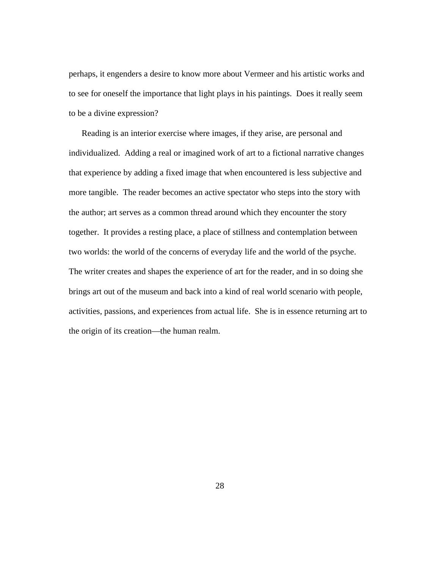perhaps, it engenders a desire to know more about Vermeer and his artistic works and to see for oneself the importance that light plays in his paintings. Does it really seem to be a divine expression?

Reading is an interior exercise where images, if they arise, are personal and individualized. Adding a real or imagined work of art to a fictional narrative changes that experience by adding a fixed image that when encountered is less subjective and more tangible. The reader becomes an active spectator who steps into the story with the author; art serves as a common thread around which they encounter the story together. It provides a resting place, a place of stillness and contemplation between two worlds: the world of the concerns of everyday life and the world of the psyche. The writer creates and shapes the experience of art for the reader, and in so doing she brings art out of the museum and back into a kind of real world scenario with people, activities, passions, and experiences from actual life. She is in essence returning art to the origin of its creation—the human realm.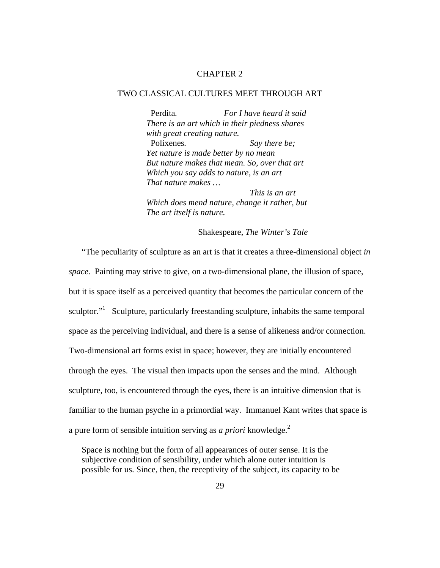### CHAPTER 2

### TWO CLASSICAL CULTURES MEET THROUGH ART

Perdita*. For I have heard it said There is an art which in their piedness shares with great creating nature.*  Polixenes*. Say there be; Yet nature is made better by no mean But nature makes that mean. So, over that art Which you say adds to nature, is an art That nature makes … This is an art* 

*Which does mend nature, change it rather, but The art itself is nature.* 

Shakespeare, *The Winter's Tale* 

"The peculiarity of sculpture as an art is that it creates a three-dimensional object *in space.* Painting may strive to give, on a two-dimensional plane, the illusion of space, but it is space itself as a perceived quantity that becomes the particular concern of the sculptor."<sup>1</sup> Sculpture, particularly freestanding sculpture, inhabits the same temporal space as the perceiving individual, and there is a sense of alikeness and/or connection. Two-dimensional art forms exist in space; however, they are initially encountered through the eyes. The visual then impacts upon the senses and the mind. Although sculpture, too, is encountered through the eyes, there is an intuitive dimension that is familiar to the human psyche in a primordial way. Immanuel Kant writes that space is a pure form of sensible intuition serving as *a priori* knowledge.<sup>2</sup>

Space is nothing but the form of all appearances of outer sense. It is the subjective condition of sensibility, under which alone outer intuition is possible for us. Since, then, the receptivity of the subject, its capacity to be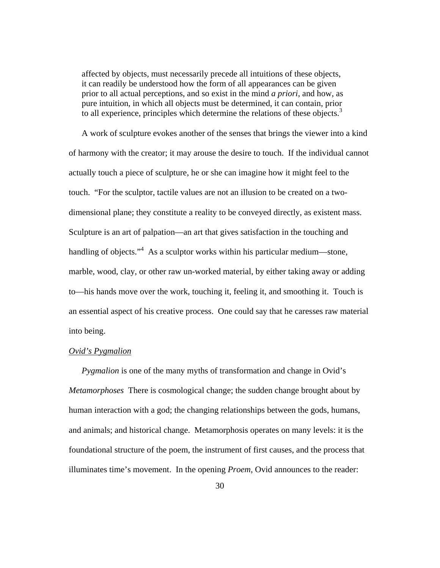affected by objects, must necessarily precede all intuitions of these objects, it can readily be understood how the form of all appearances can be given prior to all actual perceptions, and so exist in the mind *a priori*, and how, as pure intuition, in which all objects must be determined, it can contain, prior to all experience, principles which determine the relations of these objects.<sup>3</sup>

A work of sculpture evokes another of the senses that brings the viewer into a kind of harmony with the creator; it may arouse the desire to touch. If the individual cannot actually touch a piece of sculpture, he or she can imagine how it might feel to the touch. "For the sculptor, tactile values are not an illusion to be created on a twodimensional plane; they constitute a reality to be conveyed directly, as existent mass. Sculpture is an art of palpation—an art that gives satisfaction in the touching and handling of objects."<sup>4</sup> As a sculptor works within his particular medium—stone, marble, wood, clay, or other raw un-worked material, by either taking away or adding to—his hands move over the work, touching it, feeling it, and smoothing it. Touch is an essential aspect of his creative process. One could say that he caresses raw material into being.

### *Ovid's Pygmalion*

*Pygmalion* is one of the many myths of transformation and change in Ovid's *Metamorphoses* There is cosmological change; the sudden change brought about by human interaction with a god; the changing relationships between the gods, humans, and animals; and historical change. Metamorphosis operates on many levels: it is the foundational structure of the poem, the instrument of first causes, and the process that illuminates time's movement. In the opening *Proem*, Ovid announces to the reader: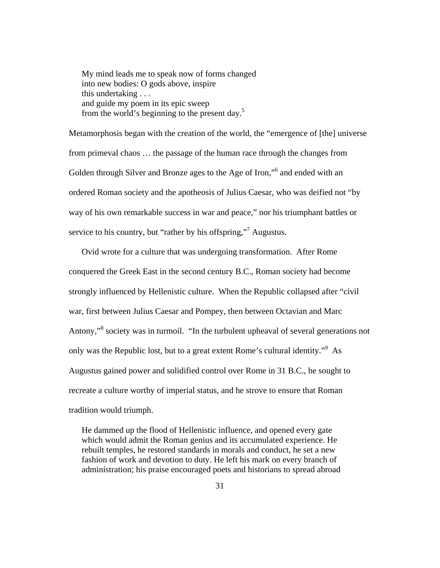My mind leads me to speak now of forms changed into new bodies: O gods above, inspire this undertaking . . . and guide my poem in its epic sweep from the world's beginning to the present day.5

Metamorphosis began with the creation of the world, the "emergence of [the] universe from primeval chaos … the passage of the human race through the changes from Golden through Silver and Bronze ages to the Age of Iron,"<sup>6</sup> and ended with an ordered Roman society and the apotheosis of Julius Caesar, who was deified not "by way of his own remarkable success in war and peace," nor his triumphant battles or service to his country, but "rather by his offspring,"<sup>7</sup> Augustus.

Ovid wrote for a culture that was undergoing transformation. After Rome conquered the Greek East in the second century B.C., Roman society had become strongly influenced by Hellenistic culture. When the Republic collapsed after "civil war, first between Julius Caesar and Pompey, then between Octavian and Marc Antony,"<sup>8</sup> society was in turmoil. "In the turbulent upheaval of several generations not only was the Republic lost, but to a great extent Rome's cultural identity."<sup>9</sup> As Augustus gained power and solidified control over Rome in 31 B.C., he sought to recreate a culture worthy of imperial status, and he strove to ensure that Roman tradition would triumph.

He dammed up the flood of Hellenistic influence, and opened every gate which would admit the Roman genius and its accumulated experience. He rebuilt temples, he restored standards in morals and conduct, he set a new fashion of work and devotion to duty. He left his mark on every branch of administration; his praise encouraged poets and historians to spread abroad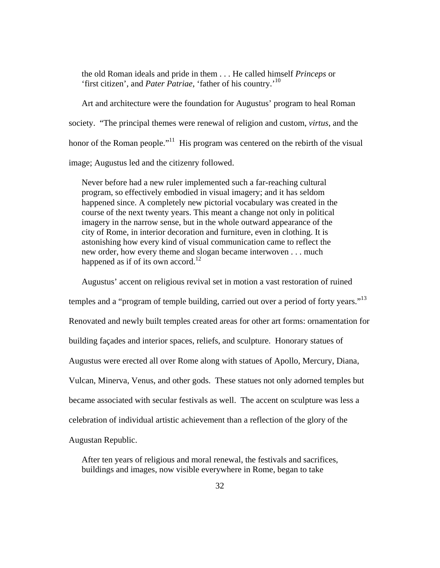the old Roman ideals and pride in them . . . He called himself *Princeps* or 'first citizen', and *Pater Patriae*, 'father of his country.'10

Art and architecture were the foundation for Augustus' program to heal Roman society. "The principal themes were renewal of religion and custom, *virtus*, and the honor of the Roman people."<sup>11</sup> His program was centered on the rebirth of the visual image; Augustus led and the citizenry followed.

Never before had a new ruler implemented such a far-reaching cultural program, so effectively embodied in visual imagery; and it has seldom happened since. A completely new pictorial vocabulary was created in the course of the next twenty years. This meant a change not only in political imagery in the narrow sense, but in the whole outward appearance of the city of Rome, in interior decoration and furniture, even in clothing. It is astonishing how every kind of visual communication came to reflect the new order, how every theme and slogan became interwoven . . . much happened as if of its own accord.<sup>12</sup>

Augustus' accent on religious revival set in motion a vast restoration of ruined temples and a "program of temple building, carried out over a period of forty years."<sup>13</sup> Renovated and newly built temples created areas for other art forms: ornamentation for building façades and interior spaces, reliefs, and sculpture. Honorary statues of Augustus were erected all over Rome along with statues of Apollo, Mercury, Diana, Vulcan, Minerva, Venus, and other gods. These statues not only adorned temples but became associated with secular festivals as well. The accent on sculpture was less a celebration of individual artistic achievement than a reflection of the glory of the Augustan Republic.

After ten years of religious and moral renewal, the festivals and sacrifices, buildings and images, now visible everywhere in Rome, began to take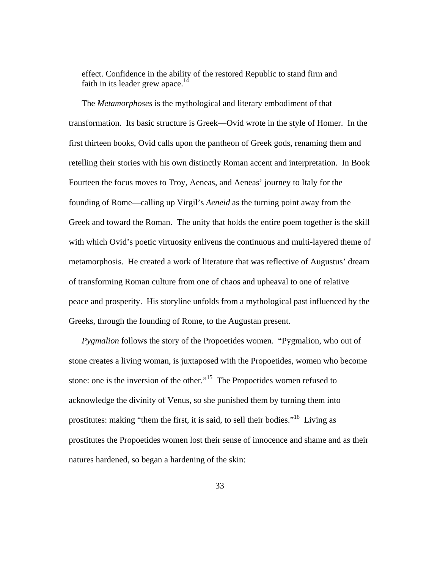effect. Confidence in the ability of the restored Republic to stand firm and faith in its leader grew apace.<sup>14</sup>

The *Metamorphoses* is the mythological and literary embodiment of that transformation. Its basic structure is Greek—Ovid wrote in the style of Homer. In the first thirteen books, Ovid calls upon the pantheon of Greek gods, renaming them and retelling their stories with his own distinctly Roman accent and interpretation. In Book Fourteen the focus moves to Troy, Aeneas, and Aeneas' journey to Italy for the founding of Rome—calling up Virgil's *Aeneid* as the turning point away from the Greek and toward the Roman. The unity that holds the entire poem together is the skill with which Ovid's poetic virtuosity enlivens the continuous and multi-layered theme of metamorphosis. He created a work of literature that was reflective of Augustus' dream of transforming Roman culture from one of chaos and upheaval to one of relative peace and prosperity. His storyline unfolds from a mythological past influenced by the Greeks, through the founding of Rome, to the Augustan present.

*Pygmalion* follows the story of the Propoetides women. "Pygmalion, who out of stone creates a living woman, is juxtaposed with the Propoetides, women who become stone: one is the inversion of the other."<sup>15</sup> The Propoetides women refused to acknowledge the divinity of Venus, so she punished them by turning them into prostitutes: making "them the first, it is said, to sell their bodies."16 Living as prostitutes the Propoetides women lost their sense of innocence and shame and as their natures hardened, so began a hardening of the skin: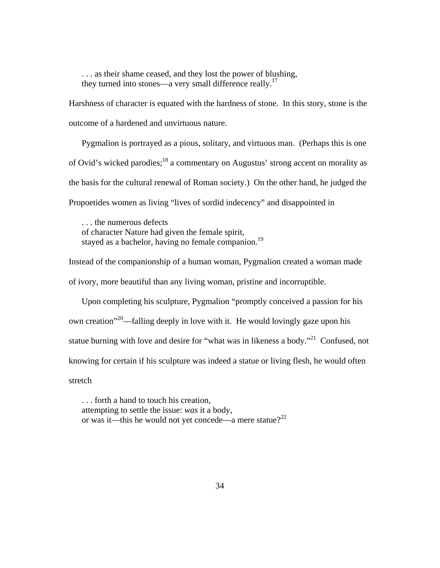. . . as their shame ceased, and they lost the power of blushing, they turned into stones—a very small difference really.<sup>17</sup>

Harshness of character is equated with the hardness of stone. In this story, stone is the outcome of a hardened and unvirtuous nature.

Pygmalion is portrayed as a pious, solitary, and virtuous man. (Perhaps this is one of Ovid's wicked parodies;<sup>18</sup> a commentary on Augustus' strong accent on morality as the basis for the cultural renewal of Roman society.) On the other hand, he judged the Propoetides women as living "lives of sordid indecency" and disappointed in

. . . the numerous defects of character Nature had given the female spirit, stayed as a bachelor, having no female companion.<sup>19</sup>

Instead of the companionship of a human woman, Pygmalion created a woman made of ivory, more beautiful than any living woman, pristine and incorruptible.

Upon completing his sculpture, Pygmalion "promptly conceived a passion for his own creation<sup> $20$ </sup>—falling deeply in love with it. He would lovingly gaze upon his statue burning with love and desire for "what was in likeness a body."<sup>21</sup> Confused, not knowing for certain if his sculpture was indeed a statue or living flesh, he would often stretch

. . . forth a hand to touch his creation, attempting to settle the issue: *was* it a body, or was it—this he would not yet concede—a mere statue?<sup>22</sup>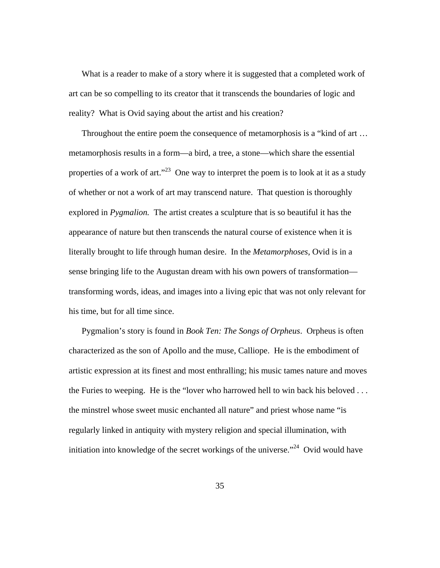What is a reader to make of a story where it is suggested that a completed work of art can be so compelling to its creator that it transcends the boundaries of logic and reality? What is Ovid saying about the artist and his creation?

Throughout the entire poem the consequence of metamorphosis is a "kind of art … metamorphosis results in a form—a bird, a tree, a stone—which share the essential properties of a work of art."<sup>23</sup> One way to interpret the poem is to look at it as a study of whether or not a work of art may transcend nature. That question is thoroughly explored in *Pygmalion.* The artist creates a sculpture that is so beautiful it has the appearance of nature but then transcends the natural course of existence when it is literally brought to life through human desire. In the *Metamorphoses*, Ovid is in a sense bringing life to the Augustan dream with his own powers of transformation transforming words, ideas, and images into a living epic that was not only relevant for his time, but for all time since.

Pygmalion's story is found in *Book Ten: The Songs of Orpheus*. Orpheus is often characterized as the son of Apollo and the muse, Calliope. He is the embodiment of artistic expression at its finest and most enthralling; his music tames nature and moves the Furies to weeping. He is the "lover who harrowed hell to win back his beloved . . . the minstrel whose sweet music enchanted all nature" and priest whose name "is regularly linked in antiquity with mystery religion and special illumination, with initiation into knowledge of the secret workings of the universe."<sup>24</sup> Ovid would have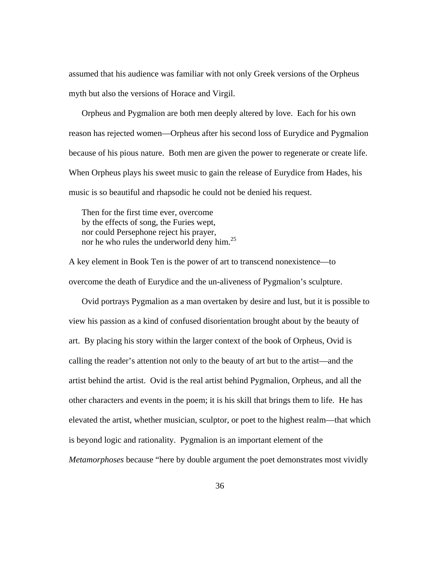assumed that his audience was familiar with not only Greek versions of the Orpheus myth but also the versions of Horace and Virgil.

Orpheus and Pygmalion are both men deeply altered by love. Each for his own reason has rejected women—Orpheus after his second loss of Eurydice and Pygmalion because of his pious nature. Both men are given the power to regenerate or create life. When Orpheus plays his sweet music to gain the release of Eurydice from Hades, his music is so beautiful and rhapsodic he could not be denied his request.

Then for the first time ever, overcome by the effects of song, the Furies wept, nor could Persephone reject his prayer, nor he who rules the underworld deny him.<sup>25</sup>

A key element in Book Ten is the power of art to transcend nonexistence—to overcome the death of Eurydice and the un-aliveness of Pygmalion's sculpture.

Ovid portrays Pygmalion as a man overtaken by desire and lust, but it is possible to view his passion as a kind of confused disorientation brought about by the beauty of art. By placing his story within the larger context of the book of Orpheus, Ovid is calling the reader's attention not only to the beauty of art but to the artist—and the artist behind the artist. Ovid is the real artist behind Pygmalion, Orpheus, and all the other characters and events in the poem; it is his skill that brings them to life. He has elevated the artist, whether musician, sculptor, or poet to the highest realm—that which is beyond logic and rationality. Pygmalion is an important element of the *Metamorphoses* because "here by double argument the poet demonstrates most vividly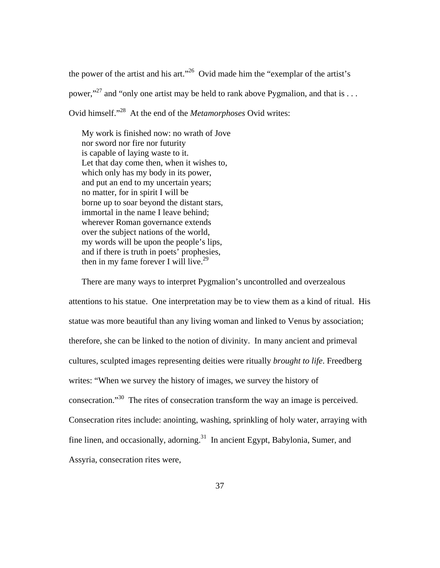the power of the artist and his art."26 Ovid made him the "exemplar of the artist's power,"27 and "only one artist may be held to rank above Pygmalion, and that is . . . Ovid himself."28 At the end of the *Metamorphoses* Ovid writes:

My work is finished now: no wrath of Jove nor sword nor fire nor futurity is capable of laying waste to it. Let that day come then, when it wishes to, which only has my body in its power, and put an end to my uncertain years; no matter, for in spirit I will be borne up to soar beyond the distant stars, immortal in the name I leave behind; wherever Roman governance extends over the subject nations of the world, my words will be upon the people's lips, and if there is truth in poets' prophesies, then in my fame forever I will live.<sup>29</sup>

There are many ways to interpret Pygmalion's uncontrolled and overzealous attentions to his statue. One interpretation may be to view them as a kind of ritual. His statue was more beautiful than any living woman and linked to Venus by association; therefore, she can be linked to the notion of divinity. In many ancient and primeval cultures, sculpted images representing deities were ritually *brought to life*. Freedberg writes: "When we survey the history of images, we survey the history of consecration."30 The rites of consecration transform the way an image is perceived. Consecration rites include: anointing, washing, sprinkling of holy water, arraying with fine linen, and occasionally, adorning.<sup>31</sup> In ancient Egypt, Babylonia, Sumer, and Assyria, consecration rites were,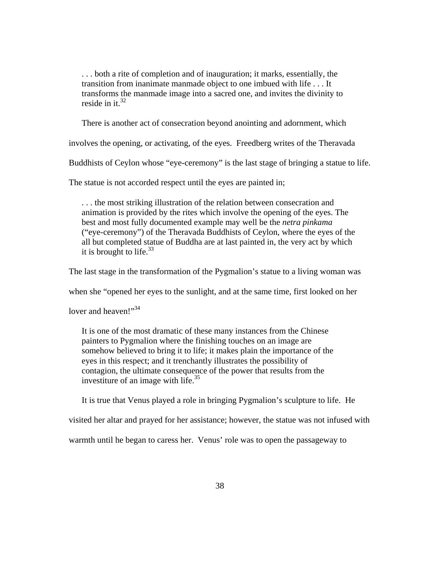. . . both a rite of completion and of inauguration; it marks, essentially, the transition from inanimate manmade object to one imbued with life . . . It transforms the manmade image into a sacred one, and invites the divinity to reside in it. $32$ 

There is another act of consecration beyond anointing and adornment, which

involves the opening, or activating, of the eyes. Freedberg writes of the Theravada

Buddhists of Ceylon whose "eye-ceremony" is the last stage of bringing a statue to life.

The statue is not accorded respect until the eyes are painted in;

. . . the most striking illustration of the relation between consecration and animation is provided by the rites which involve the opening of the eyes. The best and most fully documented example may well be the *netra pinkama*  ("eye-ceremony") of the Theravada Buddhists of Ceylon, where the eyes of the all but completed statue of Buddha are at last painted in, the very act by which it is brought to life. $33$ 

The last stage in the transformation of the Pygmalion's statue to a living woman was

when she "opened her eyes to the sunlight, and at the same time, first looked on her

lover and heaven!"<sup>34</sup>

It is one of the most dramatic of these many instances from the Chinese painters to Pygmalion where the finishing touches on an image are somehow believed to bring it to life; it makes plain the importance of the eyes in this respect; and it trenchantly illustrates the possibility of contagion, the ultimate consequence of the power that results from the investiture of an image with life. $^{35}$ 

It is true that Venus played a role in bringing Pygmalion's sculpture to life. He

visited her altar and prayed for her assistance; however, the statue was not infused with

warmth until he began to caress her. Venus' role was to open the passageway to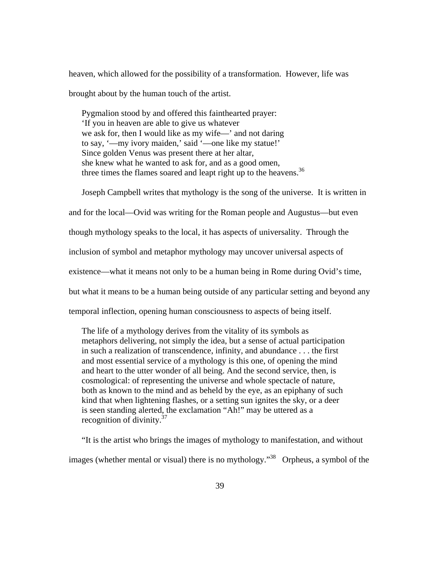heaven, which allowed for the possibility of a transformation. However, life was brought about by the human touch of the artist.

Pygmalion stood by and offered this fainthearted prayer: 'If you in heaven are able to give us whatever we ask for, then I would like as my wife—' and not daring to say, '—my ivory maiden,' said '—one like my statue!' Since golden Venus was present there at her altar, she knew what he wanted to ask for, and as a good omen, three times the flames soared and leapt right up to the heavens.<sup>36</sup>

Joseph Campbell writes that mythology is the song of the universe. It is written in and for the local—Ovid was writing for the Roman people and Augustus—but even though mythology speaks to the local, it has aspects of universality. Through the inclusion of symbol and metaphor mythology may uncover universal aspects of existence—what it means not only to be a human being in Rome during Ovid's time, but what it means to be a human being outside of any particular setting and beyond any temporal inflection, opening human consciousness to aspects of being itself.

The life of a mythology derives from the vitality of its symbols as metaphors delivering, not simply the idea, but a sense of actual participation in such a realization of transcendence, infinity, and abundance . . . the first and most essential service of a mythology is this one, of opening the mind and heart to the utter wonder of all being. And the second service, then, is cosmological: of representing the universe and whole spectacle of nature, both as known to the mind and as beheld by the eye, as an epiphany of such kind that when lightening flashes, or a setting sun ignites the sky, or a deer is seen standing alerted, the exclamation "Ah!" may be uttered as a recognition of divinity. $37$ 

"It is the artist who brings the images of mythology to manifestation, and without images (whether mental or visual) there is no mythology.<sup>38</sup> Orpheus, a symbol of the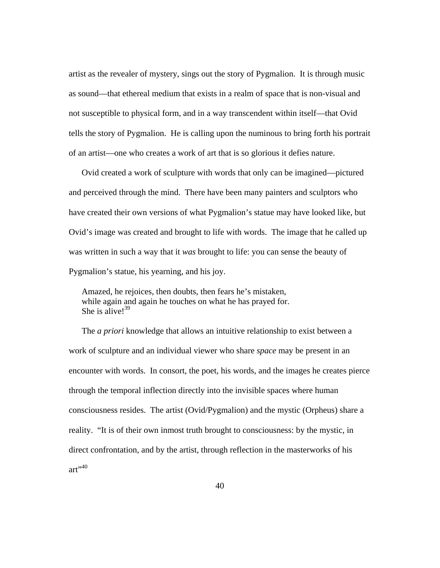artist as the revealer of mystery, sings out the story of Pygmalion. It is through music as sound—that ethereal medium that exists in a realm of space that is non-visual and not susceptible to physical form, and in a way transcendent within itself—that Ovid tells the story of Pygmalion. He is calling upon the numinous to bring forth his portrait of an artist—one who creates a work of art that is so glorious it defies nature.

Ovid created a work of sculpture with words that only can be imagined—pictured and perceived through the mind. There have been many painters and sculptors who have created their own versions of what Pygmalion's statue may have looked like, but Ovid's image was created and brought to life with words. The image that he called up was written in such a way that it *was* brought to life: you can sense the beauty of Pygmalion's statue, his yearning, and his joy.

Amazed, he rejoices, then doubts, then fears he's mistaken, while again and again he touches on what he has prayed for. She is alive! $39$ 

The *a priori* knowledge that allows an intuitive relationship to exist between a work of sculpture and an individual viewer who share *space* may be present in an encounter with words. In consort, the poet, his words, and the images he creates pierce through the temporal inflection directly into the invisible spaces where human consciousness resides. The artist (Ovid/Pygmalion) and the mystic (Orpheus) share a reality. "It is of their own inmost truth brought to consciousness: by the mystic, in direct confrontation, and by the artist, through reflection in the masterworks of his  $art$ <sup>,40</sup>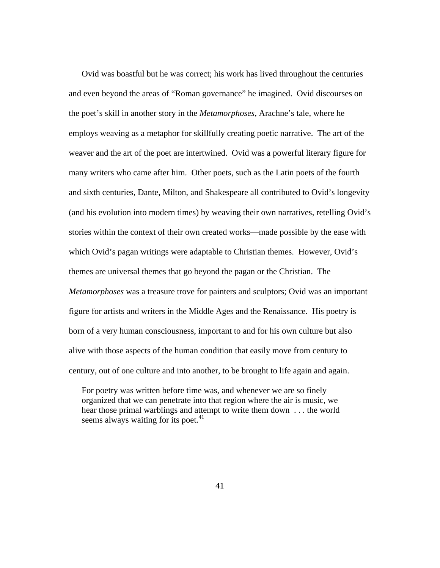Ovid was boastful but he was correct; his work has lived throughout the centuries and even beyond the areas of "Roman governance" he imagined. Ovid discourses on the poet's skill in another story in the *Metamorphoses*, Arachne's tale, where he employs weaving as a metaphor for skillfully creating poetic narrative. The art of the weaver and the art of the poet are intertwined. Ovid was a powerful literary figure for many writers who came after him. Other poets, such as the Latin poets of the fourth and sixth centuries, Dante, Milton, and Shakespeare all contributed to Ovid's longevity (and his evolution into modern times) by weaving their own narratives, retelling Ovid's stories within the context of their own created works—made possible by the ease with which Ovid's pagan writings were adaptable to Christian themes. However, Ovid's themes are universal themes that go beyond the pagan or the Christian. The *Metamorphoses* was a treasure trove for painters and sculptors; Ovid was an important figure for artists and writers in the Middle Ages and the Renaissance. His poetry is born of a very human consciousness, important to and for his own culture but also alive with those aspects of the human condition that easily move from century to century, out of one culture and into another, to be brought to life again and again.

For poetry was written before time was, and whenever we are so finely organized that we can penetrate into that region where the air is music, we hear those primal warblings and attempt to write them down . . . the world seems always waiting for its poet. $41$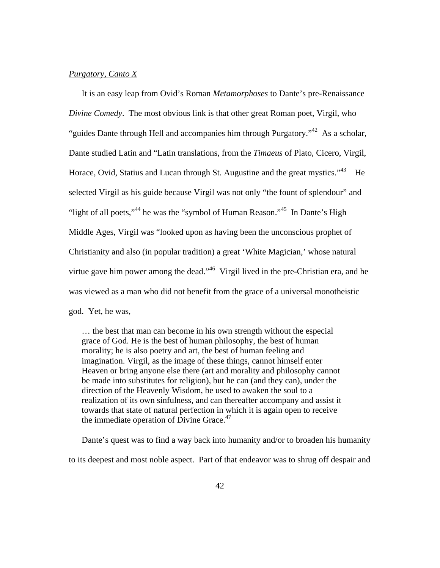# *Purgatory, Canto X*

It is an easy leap from Ovid's Roman *Metamorphoses* to Dante's pre-Renaissance *Divine Comedy*. The most obvious link is that other great Roman poet, Virgil, who "guides Dante through Hell and accompanies him through Purgatory."<sup>42</sup> As a scholar, Dante studied Latin and "Latin translations, from the *Timaeus* of Plato, Cicero, Virgil, Horace, Ovid, Statius and Lucan through St. Augustine and the great mystics.<sup> $43$ </sup> He selected Virgil as his guide because Virgil was not only "the fount of splendour" and "light of all poets,"<sup>44</sup> he was the "symbol of Human Reason."<sup>45</sup> In Dante's High Middle Ages, Virgil was "looked upon as having been the unconscious prophet of Christianity and also (in popular tradition) a great 'White Magician,' whose natural virtue gave him power among the dead."<sup>46</sup> Virgil lived in the pre-Christian era, and he was viewed as a man who did not benefit from the grace of a universal monotheistic god. Yet, he was,

… the best that man can become in his own strength without the especial grace of God. He is the best of human philosophy, the best of human morality; he is also poetry and art, the best of human feeling and imagination. Virgil, as the image of these things, cannot himself enter Heaven or bring anyone else there (art and morality and philosophy cannot be made into substitutes for religion), but he can (and they can), under the direction of the Heavenly Wisdom, be used to awaken the soul to a realization of its own sinfulness, and can thereafter accompany and assist it towards that state of natural perfection in which it is again open to receive the immediate operation of Divine Grace. $47$ 

Dante's quest was to find a way back into humanity and/or to broaden his humanity to its deepest and most noble aspect. Part of that endeavor was to shrug off despair and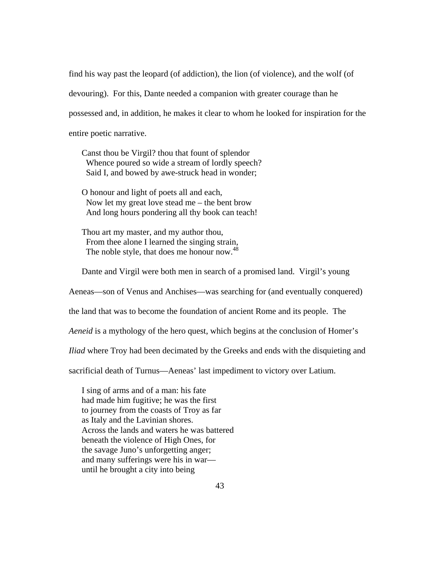find his way past the leopard (of addiction), the lion (of violence), and the wolf (of devouring). For this, Dante needed a companion with greater courage than he possessed and, in addition, he makes it clear to whom he looked for inspiration for the entire poetic narrative.

Canst thou be Virgil? thou that fount of splendor Whence poured so wide a stream of lordly speech? Said I, and bowed by awe-struck head in wonder;

O honour and light of poets all and each, Now let my great love stead me – the bent brow And long hours pondering all thy book can teach!

Thou art my master, and my author thou, From thee alone I learned the singing strain, The noble style, that does me honour now.<sup>48</sup>

Dante and Virgil were both men in search of a promised land. Virgil's young

Aeneas—son of Venus and Anchises—was searching for (and eventually conquered)

the land that was to become the foundation of ancient Rome and its people. The

*Aeneid* is a mythology of the hero quest, which begins at the conclusion of Homer's

*Iliad* where Troy had been decimated by the Greeks and ends with the disquieting and

sacrificial death of Turnus—Aeneas' last impediment to victory over Latium.

I sing of arms and of a man: his fate had made him fugitive; he was the first to journey from the coasts of Troy as far as Italy and the Lavinian shores. Across the lands and waters he was battered beneath the violence of High Ones, for the savage Juno's unforgetting anger; and many sufferings were his in war until he brought a city into being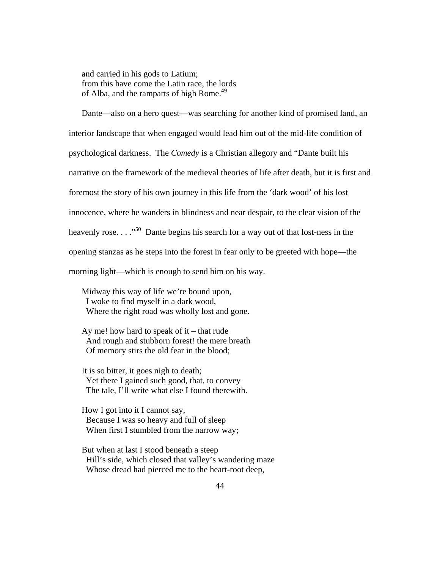and carried in his gods to Latium; from this have come the Latin race, the lords of Alba, and the ramparts of high Rome.<sup>49</sup>

Dante—also on a hero quest—was searching for another kind of promised land, an interior landscape that when engaged would lead him out of the mid-life condition of psychological darkness. The *Comedy* is a Christian allegory and "Dante built his narrative on the framework of the medieval theories of life after death, but it is first and foremost the story of his own journey in this life from the 'dark wood' of his lost innocence, where he wanders in blindness and near despair, to the clear vision of the heavenly rose.  $\ldots$ <sup>50</sup> Dante begins his search for a way out of that lost-ness in the opening stanzas as he steps into the forest in fear only to be greeted with hope—the morning light—which is enough to send him on his way.

Midway this way of life we're bound upon, I woke to find myself in a dark wood, Where the right road was wholly lost and gone.

Ay me! how hard to speak of it – that rude And rough and stubborn forest! the mere breath Of memory stirs the old fear in the blood;

It is so bitter, it goes nigh to death; Yet there I gained such good, that, to convey The tale, I'll write what else I found therewith.

How I got into it I cannot say, Because I was so heavy and full of sleep When first I stumbled from the narrow way;

But when at last I stood beneath a steep Hill's side, which closed that valley's wandering maze Whose dread had pierced me to the heart-root deep,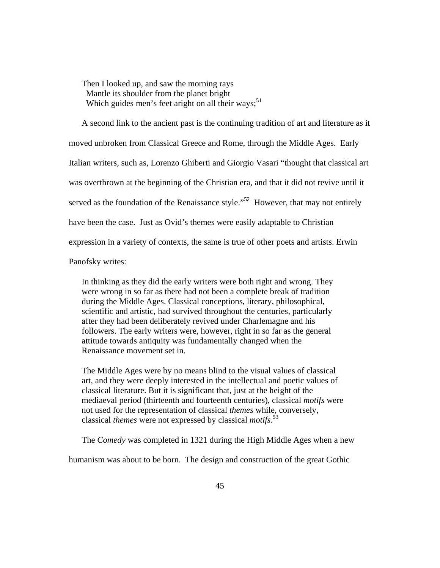Then I looked up, and saw the morning rays Mantle its shoulder from the planet bright Which guides men's feet aright on all their ways;<sup>51</sup>

A second link to the ancient past is the continuing tradition of art and literature as it moved unbroken from Classical Greece and Rome, through the Middle Ages. Early Italian writers, such as, Lorenzo Ghiberti and Giorgio Vasari "thought that classical art was overthrown at the beginning of the Christian era, and that it did not revive until it served as the foundation of the Renaissance style.<sup> $52$ </sup> However, that may not entirely have been the case. Just as Ovid's themes were easily adaptable to Christian expression in a variety of contexts, the same is true of other poets and artists. Erwin

Panofsky writes:

In thinking as they did the early writers were both right and wrong. They were wrong in so far as there had not been a complete break of tradition during the Middle Ages. Classical conceptions, literary, philosophical, scientific and artistic, had survived throughout the centuries, particularly after they had been deliberately revived under Charlemagne and his followers. The early writers were, however, right in so far as the general attitude towards antiquity was fundamentally changed when the Renaissance movement set in.

The Middle Ages were by no means blind to the visual values of classical art, and they were deeply interested in the intellectual and poetic values of classical literature. But it is significant that, just at the height of the mediaeval period (thirteenth and fourteenth centuries), classical *motifs* were not used for the representation of classical *themes* while, conversely, classical *themes* were not expressed by classical *motifs*. 53

The *Comedy* was completed in 1321 during the High Middle Ages when a new

humanism was about to be born. The design and construction of the great Gothic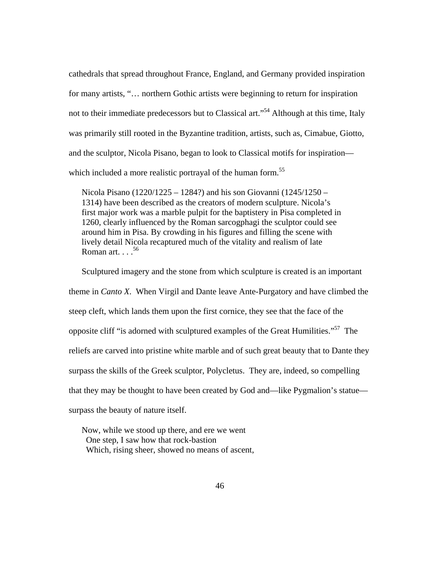cathedrals that spread throughout France, England, and Germany provided inspiration for many artists, "… northern Gothic artists were beginning to return for inspiration not to their immediate predecessors but to Classical art."<sup>54</sup> Although at this time, Italy was primarily still rooted in the Byzantine tradition, artists, such as, Cimabue, Giotto, and the sculptor, Nicola Pisano, began to look to Classical motifs for inspiration which included a more realistic portrayal of the human form.<sup>55</sup>

Nicola Pisano (1220/1225 – 1284?) and his son Giovanni (1245/1250 – 1314) have been described as the creators of modern sculpture. Nicola's first major work was a marble pulpit for the baptistery in Pisa completed in 1260, clearly influenced by the Roman sarcogphagi the sculptor could see around him in Pisa. By crowding in his figures and filling the scene with lively detail Nicola recaptured much of the vitality and realism of late Roman art.  $\ldots$ <sup>56</sup>

Sculptured imagery and the stone from which sculpture is created is an important theme in *Canto X*. When Virgil and Dante leave Ante-Purgatory and have climbed the steep cleft, which lands them upon the first cornice, they see that the face of the opposite cliff "is adorned with sculptured examples of the Great Humilities."57 The reliefs are carved into pristine white marble and of such great beauty that to Dante they surpass the skills of the Greek sculptor, Polycletus. They are, indeed, so compelling that they may be thought to have been created by God and—like Pygmalion's statue surpass the beauty of nature itself.

Now, while we stood up there, and ere we went One step, I saw how that rock-bastion Which, rising sheer, showed no means of ascent,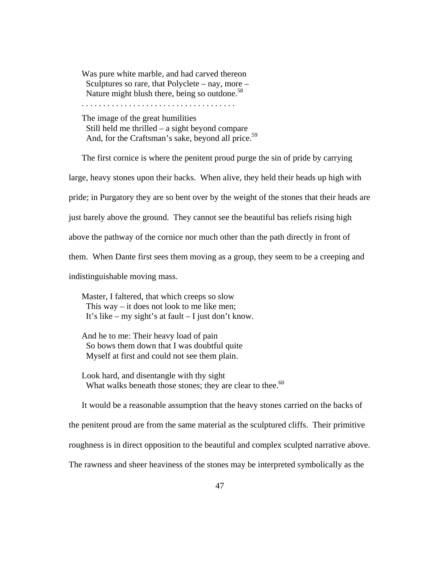Was pure white marble, and had carved thereon Sculptures so rare, that Polyclete – nay, more – Nature might blush there, being so outdone.<sup>58</sup>

. . . . . . . . . . . . . . . . . . . . . . . . . . . . . . . . . . . .

The image of the great humilities Still held me thrilled – a sight beyond compare And, for the Craftsman's sake, beyond all price.<sup>59</sup>

The first cornice is where the penitent proud purge the sin of pride by carrying large, heavy stones upon their backs. When alive, they held their heads up high with pride; in Purgatory they are so bent over by the weight of the stones that their heads are just barely above the ground. They cannot see the beautiful bas reliefs rising high above the pathway of the cornice nor much other than the path directly in front of them. When Dante first sees them moving as a group, they seem to be a creeping and indistinguishable moving mass.

Master, I faltered, that which creeps so slow This way – it does not look to me like men; It's like – my sight's at fault – I just don't know.

And he to me: Their heavy load of pain So bows them down that I was doubtful quite Myself at first and could not see them plain.

Look hard, and disentangle with thy sight What walks beneath those stones; they are clear to thee. $60$ 

It would be a reasonable assumption that the heavy stones carried on the backs of the penitent proud are from the same material as the sculptured cliffs. Their primitive roughness is in direct opposition to the beautiful and complex sculpted narrative above. The rawness and sheer heaviness of the stones may be interpreted symbolically as the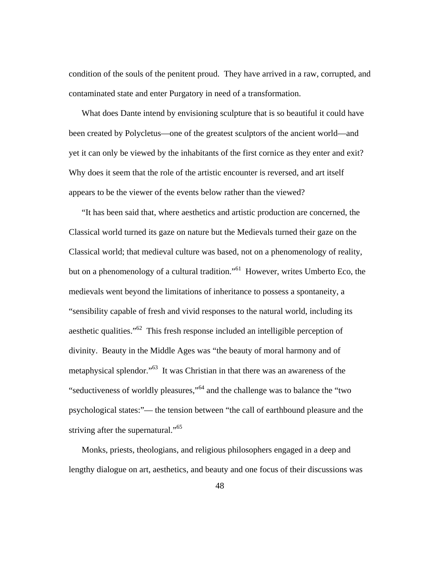condition of the souls of the penitent proud. They have arrived in a raw, corrupted, and contaminated state and enter Purgatory in need of a transformation.

What does Dante intend by envisioning sculpture that is so beautiful it could have been created by Polycletus—one of the greatest sculptors of the ancient world—and yet it can only be viewed by the inhabitants of the first cornice as they enter and exit? Why does it seem that the role of the artistic encounter is reversed, and art itself appears to be the viewer of the events below rather than the viewed?

"It has been said that, where aesthetics and artistic production are concerned, the Classical world turned its gaze on nature but the Medievals turned their gaze on the Classical world; that medieval culture was based, not on a phenomenology of reality, but on a phenomenology of a cultural tradition."<sup>61</sup> However, writes Umberto Eco, the medievals went beyond the limitations of inheritance to possess a spontaneity, a "sensibility capable of fresh and vivid responses to the natural world, including its aesthetic qualities."62 This fresh response included an intelligible perception of divinity. Beauty in the Middle Ages was "the beauty of moral harmony and of metaphysical splendor."63 It was Christian in that there was an awareness of the "seductiveness of worldly pleasures,"64 and the challenge was to balance the "two psychological states:"— the tension between "the call of earthbound pleasure and the striving after the supernatural."<sup>65</sup>

Monks, priests, theologians, and religious philosophers engaged in a deep and lengthy dialogue on art, aesthetics, and beauty and one focus of their discussions was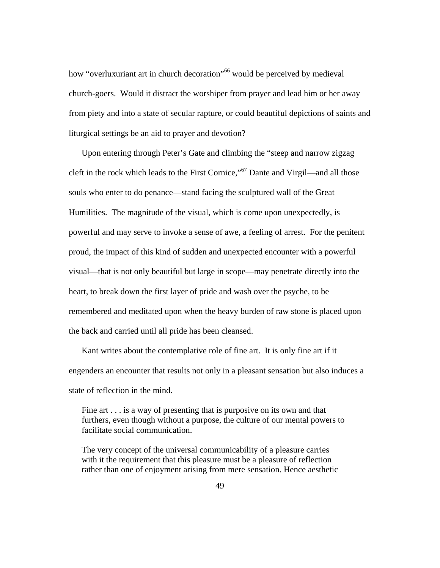how "overluxuriant art in church decoration"<sup>66</sup> would be perceived by medieval church-goers. Would it distract the worshiper from prayer and lead him or her away from piety and into a state of secular rapture, or could beautiful depictions of saints and liturgical settings be an aid to prayer and devotion?

Upon entering through Peter's Gate and climbing the "steep and narrow zigzag cleft in the rock which leads to the First Cornice,"67 Dante and Virgil—and all those souls who enter to do penance—stand facing the sculptured wall of the Great Humilities. The magnitude of the visual, which is come upon unexpectedly, is powerful and may serve to invoke a sense of awe, a feeling of arrest. For the penitent proud, the impact of this kind of sudden and unexpected encounter with a powerful visual—that is not only beautiful but large in scope—may penetrate directly into the heart, to break down the first layer of pride and wash over the psyche, to be remembered and meditated upon when the heavy burden of raw stone is placed upon the back and carried until all pride has been cleansed.

Kant writes about the contemplative role of fine art. It is only fine art if it engenders an encounter that results not only in a pleasant sensation but also induces a state of reflection in the mind.

Fine art . . . is a way of presenting that is purposive on its own and that furthers, even though without a purpose, the culture of our mental powers to facilitate social communication.

The very concept of the universal communicability of a pleasure carries with it the requirement that this pleasure must be a pleasure of reflection rather than one of enjoyment arising from mere sensation. Hence aesthetic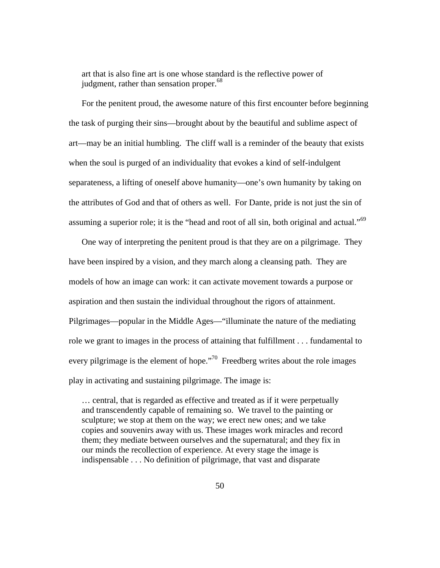art that is also fine art is one whose standard is the reflective power of judgment, rather than sensation proper.<sup>68</sup>

For the penitent proud, the awesome nature of this first encounter before beginning the task of purging their sins—brought about by the beautiful and sublime aspect of art—may be an initial humbling. The cliff wall is a reminder of the beauty that exists when the soul is purged of an individuality that evokes a kind of self-indulgent separateness, a lifting of oneself above humanity—one's own humanity by taking on the attributes of God and that of others as well. For Dante, pride is not just the sin of assuming a superior role; it is the "head and root of all sin, both original and actual."<sup>69</sup>

One way of interpreting the penitent proud is that they are on a pilgrimage. They have been inspired by a vision, and they march along a cleansing path. They are models of how an image can work: it can activate movement towards a purpose or aspiration and then sustain the individual throughout the rigors of attainment. Pilgrimages—popular in the Middle Ages—"illuminate the nature of the mediating role we grant to images in the process of attaining that fulfillment . . . fundamental to every pilgrimage is the element of hope."<sup>70</sup> Freedberg writes about the role images play in activating and sustaining pilgrimage. The image is:

… central, that is regarded as effective and treated as if it were perpetually and transcendently capable of remaining so. We travel to the painting or sculpture; we stop at them on the way; we erect new ones; and we take copies and souvenirs away with us. These images work miracles and record them; they mediate between ourselves and the supernatural; and they fix in our minds the recollection of experience. At every stage the image is indispensable . . . No definition of pilgrimage, that vast and disparate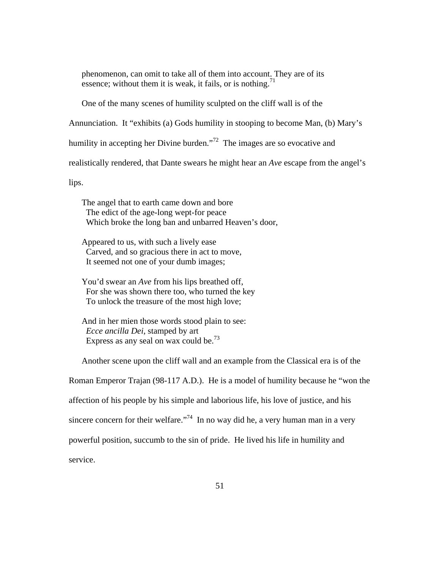phenomenon, can omit to take all of them into account. They are of its essence; without them it is weak, it fails, or is nothing.<sup>71</sup>

One of the many scenes of humility sculpted on the cliff wall is of the

Annunciation. It "exhibits (a) Gods humility in stooping to become Man, (b) Mary's

humility in accepting her Divine burden.<sup>772</sup> The images are so evocative and

realistically rendered, that Dante swears he might hear an *Ave* escape from the angel's

lips.

The angel that to earth came down and bore The edict of the age-long wept-for peace Which broke the long ban and unbarred Heaven's door,

Appeared to us, with such a lively ease Carved, and so gracious there in act to move, It seemed not one of your dumb images;

You'd swear an *Ave* from his lips breathed off, For she was shown there too, who turned the key To unlock the treasure of the most high love;

And in her mien those words stood plain to see: *Ecce ancilla Dei*, stamped by art Express as any seal on wax could be.<sup>73</sup>

Another scene upon the cliff wall and an example from the Classical era is of the Roman Emperor Trajan (98-117 A.D.). He is a model of humility because he "won the affection of his people by his simple and laborious life, his love of justice, and his sincere concern for their welfare.<sup> $74$ </sup> In no way did he, a very human man in a very powerful position, succumb to the sin of pride. He lived his life in humility and service.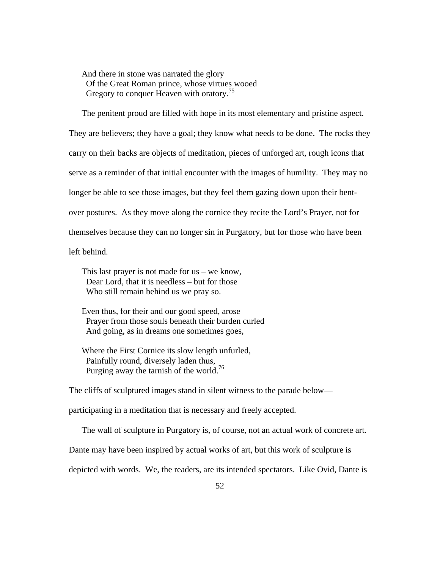And there in stone was narrated the glory Of the Great Roman prince, whose virtues wooed Gregory to conquer Heaven with oratory.<sup>75</sup>

The penitent proud are filled with hope in its most elementary and pristine aspect. They are believers; they have a goal; they know what needs to be done. The rocks they carry on their backs are objects of meditation, pieces of unforged art, rough icons that serve as a reminder of that initial encounter with the images of humility. They may no longer be able to see those images, but they feel them gazing down upon their bentover postures. As they move along the cornice they recite the Lord's Prayer, not for themselves because they can no longer sin in Purgatory, but for those who have been left behind.

This last prayer is not made for us – we know, Dear Lord, that it is needless – but for those Who still remain behind us we pray so.

Even thus, for their and our good speed, arose Prayer from those souls beneath their burden curled And going, as in dreams one sometimes goes,

Where the First Cornice its slow length unfurled, Painfully round, diversely laden thus, Purging away the tarnish of the world.<sup>76</sup>

The cliffs of sculptured images stand in silent witness to the parade below—

participating in a meditation that is necessary and freely accepted.

The wall of sculpture in Purgatory is, of course, not an actual work of concrete art.

Dante may have been inspired by actual works of art, but this work of sculpture is

depicted with words. We, the readers, are its intended spectators. Like Ovid, Dante is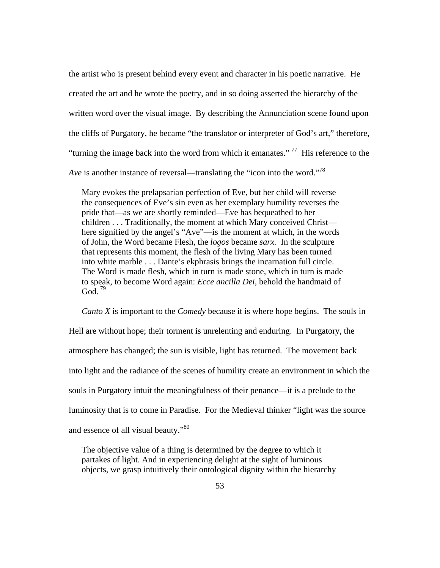the artist who is present behind every event and character in his poetic narrative. He created the art and he wrote the poetry, and in so doing asserted the hierarchy of the written word over the visual image. By describing the Annunciation scene found upon the cliffs of Purgatory, he became "the translator or interpreter of God's art," therefore, "turning the image back into the word from which it emanates."<sup>77</sup> His reference to the *Ave* is another instance of reversal—translating the "icon into the word."<sup>78</sup>

Mary evokes the prelapsarian perfection of Eve, but her child will reverse the consequences of Eve's sin even as her exemplary humility reverses the pride that—as we are shortly reminded—Eve has bequeathed to her children . . . Traditionally, the moment at which Mary conceived Christ here signified by the angel's "Ave"—is the moment at which, in the words of John, the Word became Flesh, the *logos* became *sarx.* In the sculpture that represents this moment, the flesh of the living Mary has been turned into white marble . . . Dante's ekphrasis brings the incarnation full circle. The Word is made flesh, which in turn is made stone, which in turn is made to speak, to become Word again: *Ecce ancilla Dei,* behold the handmaid of God.  $79$ 

*Canto X* is important to the *Comedy* because it is where hope begins. The souls in Hell are without hope; their torment is unrelenting and enduring. In Purgatory, the atmosphere has changed; the sun is visible, light has returned. The movement back into light and the radiance of the scenes of humility create an environment in which the souls in Purgatory intuit the meaningfulness of their penance—it is a prelude to the luminosity that is to come in Paradise. For the Medieval thinker "light was the source and essence of all visual beauty."<sup>80</sup>

The objective value of a thing is determined by the degree to which it partakes of light. And in experiencing delight at the sight of luminous objects, we grasp intuitively their ontological dignity within the hierarchy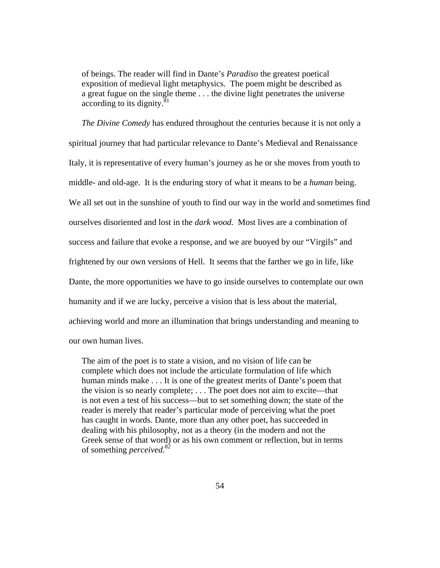of beings. The reader will find in Dante's *Paradiso* the greatest poetical exposition of medieval light metaphysics. The poem might be described as a great fugue on the single theme . . . the divine light penetrates the universe according to its dignity. $81$ 

*The Divine Comedy* has endured throughout the centuries because it is not only a spiritual journey that had particular relevance to Dante's Medieval and Renaissance Italy, it is representative of every human's journey as he or she moves from youth to middle- and old-age. It is the enduring story of what it means to be a *human* being. We all set out in the sunshine of youth to find our way in the world and sometimes find ourselves disoriented and lost in the *dark wood*. Most lives are a combination of success and failure that evoke a response, and we are buoyed by our "Virgils" and frightened by our own versions of Hell. It seems that the farther we go in life, like Dante, the more opportunities we have to go inside ourselves to contemplate our own humanity and if we are lucky, perceive a vision that is less about the material, achieving world and more an illumination that brings understanding and meaning to our own human lives.

The aim of the poet is to state a vision, and no vision of life can be complete which does not include the articulate formulation of life which human minds make . . . It is one of the greatest merits of Dante's poem that the vision is so nearly complete; . . . The poet does not aim to excite—that is not even a test of his success—but to set something down; the state of the reader is merely that reader's particular mode of perceiving what the poet has caught in words. Dante, more than any other poet, has succeeded in dealing with his philosophy, not as a theory (in the modern and not the Greek sense of that word) or as his own comment or reflection, but in terms of something *perceived.82*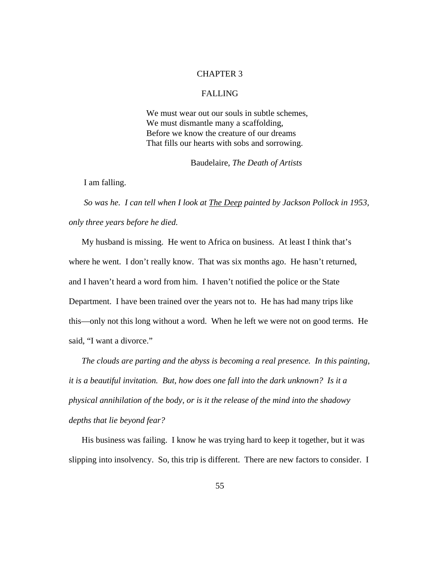#### CHAPTER 3

# FALLING

We must wear out our souls in subtle schemes. We must dismantle many a scaffolding, Before we know the creature of our dreams That fills our hearts with sobs and sorrowing.

Baudelaire, *The Death of Artists*

I am falling.

 *So was he. I can tell when I look at The Deep painted by Jackson Pollock in 1953, only three years before he died.* 

My husband is missing. He went to Africa on business. At least I think that's where he went. I don't really know. That was six months ago. He hasn't returned, and I haven't heard a word from him. I haven't notified the police or the State Department. I have been trained over the years not to. He has had many trips like this—only not this long without a word. When he left we were not on good terms. He said, "I want a divorce."

*The clouds are parting and the abyss is becoming a real presence. In this painting, it is a beautiful invitation. But, how does one fall into the dark unknown? Is it a physical annihilation of the body, or is it the release of the mind into the shadowy depths that lie beyond fear?* 

His business was failing. I know he was trying hard to keep it together, but it was slipping into insolvency. So, this trip is different. There are new factors to consider. I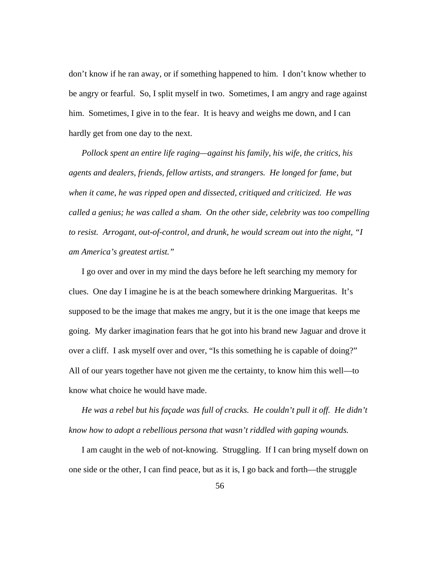don't know if he ran away, or if something happened to him. I don't know whether to be angry or fearful. So, I split myself in two. Sometimes, I am angry and rage against him. Sometimes, I give in to the fear. It is heavy and weighs me down, and I can hardly get from one day to the next.

*Pollock spent an entire life raging—against his family, his wife, the critics, his agents and dealers, friends, fellow artists, and strangers. He longed for fame, but when it came, he was ripped open and dissected, critiqued and criticized. He was called a genius; he was called a sham. On the other side, celebrity was too compelling to resist. Arrogant, out-of-control, and drunk, he would scream out into the night, "I am America's greatest artist."*

I go over and over in my mind the days before he left searching my memory for clues. One day I imagine he is at the beach somewhere drinking Margueritas. It's supposed to be the image that makes me angry, but it is the one image that keeps me going. My darker imagination fears that he got into his brand new Jaguar and drove it over a cliff. I ask myself over and over, "Is this something he is capable of doing?" All of our years together have not given me the certainty, to know him this well—to know what choice he would have made.

*He was a rebel but his façade was full of cracks. He couldn't pull it off. He didn't know how to adopt a rebellious persona that wasn't riddled with gaping wounds.* 

I am caught in the web of not-knowing. Struggling. If I can bring myself down on one side or the other, I can find peace, but as it is, I go back and forth—the struggle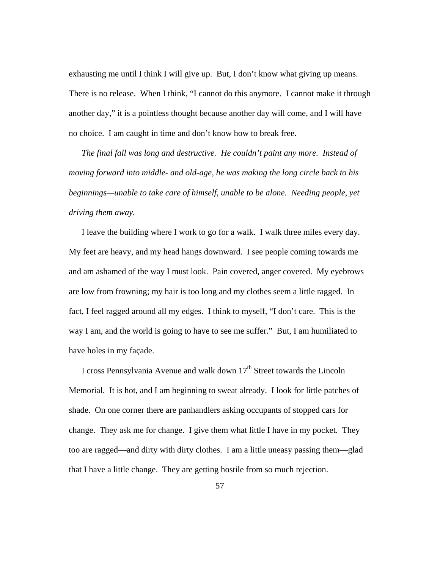exhausting me until I think I will give up. But, I don't know what giving up means. There is no release. When I think, "I cannot do this anymore. I cannot make it through another day," it is a pointless thought because another day will come, and I will have no choice. I am caught in time and don't know how to break free.

*The final fall was long and destructive. He couldn't paint any more. Instead of moving forward into middle- and old-age, he was making the long circle back to his beginnings—unable to take care of himself, unable to be alone. Needing people, yet driving them away.* 

I leave the building where I work to go for a walk. I walk three miles every day. My feet are heavy, and my head hangs downward. I see people coming towards me and am ashamed of the way I must look. Pain covered, anger covered. My eyebrows are low from frowning; my hair is too long and my clothes seem a little ragged. In fact, I feel ragged around all my edges. I think to myself, "I don't care. This is the way I am, and the world is going to have to see me suffer." But, I am humiliated to have holes in my façade.

I cross Pennsylvania Avenue and walk down  $17<sup>th</sup>$  Street towards the Lincoln Memorial. It is hot, and I am beginning to sweat already. I look for little patches of shade. On one corner there are panhandlers asking occupants of stopped cars for change. They ask me for change. I give them what little I have in my pocket. They too are ragged—and dirty with dirty clothes. I am a little uneasy passing them—glad that I have a little change. They are getting hostile from so much rejection.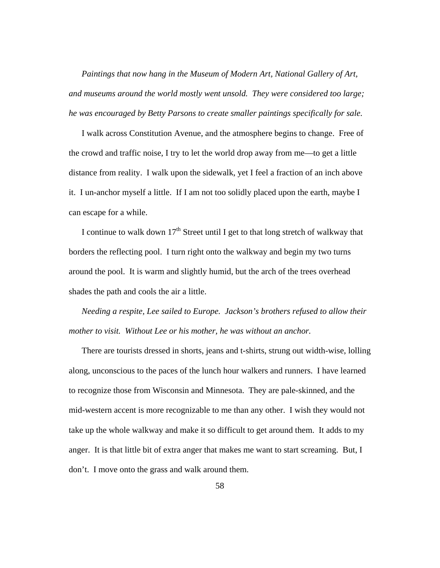*Paintings that now hang in the Museum of Modern Art, National Gallery of Art, and museums around the world mostly went unsold. They were considered too large; he was encouraged by Betty Parsons to create smaller paintings specifically for sale.* 

I walk across Constitution Avenue, and the atmosphere begins to change. Free of the crowd and traffic noise, I try to let the world drop away from me—to get a little distance from reality. I walk upon the sidewalk, yet I feel a fraction of an inch above it. I un-anchor myself a little. If I am not too solidly placed upon the earth, maybe I can escape for a while.

I continue to walk down  $17<sup>th</sup>$  Street until I get to that long stretch of walkway that borders the reflecting pool. I turn right onto the walkway and begin my two turns around the pool. It is warm and slightly humid, but the arch of the trees overhead shades the path and cools the air a little.

*Needing a respite, Lee sailed to Europe. Jackson's brothers refused to allow their mother to visit. Without Lee or his mother, he was without an anchor.* 

There are tourists dressed in shorts, jeans and t-shirts, strung out width-wise, lolling along, unconscious to the paces of the lunch hour walkers and runners. I have learned to recognize those from Wisconsin and Minnesota. They are pale-skinned, and the mid-western accent is more recognizable to me than any other. I wish they would not take up the whole walkway and make it so difficult to get around them. It adds to my anger. It is that little bit of extra anger that makes me want to start screaming. But, I don't. I move onto the grass and walk around them.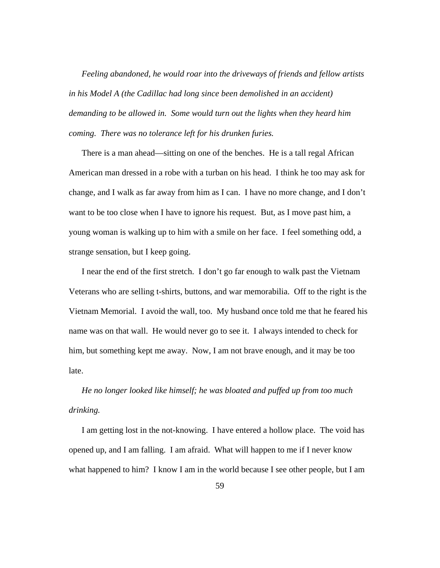*Feeling abandoned, he would roar into the driveways of friends and fellow artists in his Model A (the Cadillac had long since been demolished in an accident) demanding to be allowed in. Some would turn out the lights when they heard him coming. There was no tolerance left for his drunken furies.* 

There is a man ahead—sitting on one of the benches. He is a tall regal African American man dressed in a robe with a turban on his head. I think he too may ask for change, and I walk as far away from him as I can. I have no more change, and I don't want to be too close when I have to ignore his request. But, as I move past him, a young woman is walking up to him with a smile on her face. I feel something odd, a strange sensation, but I keep going.

I near the end of the first stretch. I don't go far enough to walk past the Vietnam Veterans who are selling t-shirts, buttons, and war memorabilia. Off to the right is the Vietnam Memorial. I avoid the wall, too. My husband once told me that he feared his name was on that wall. He would never go to see it. I always intended to check for him, but something kept me away. Now, I am not brave enough, and it may be too late.

*He no longer looked like himself; he was bloated and puffed up from too much drinking.* 

I am getting lost in the not-knowing. I have entered a hollow place. The void has opened up, and I am falling. I am afraid. What will happen to me if I never know what happened to him? I know I am in the world because I see other people, but I am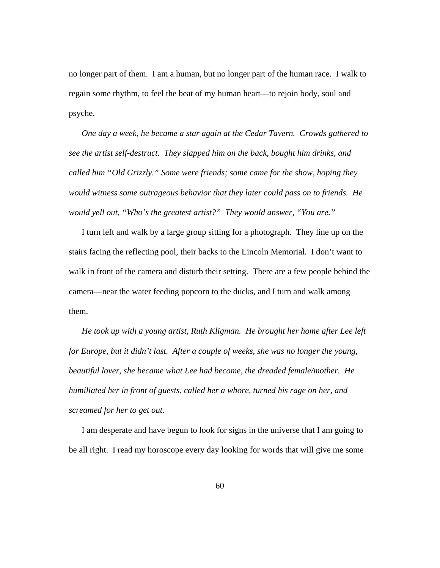no longer part of them. I am a human, but no longer part of the human race. I walk to regain some rhythm, to feel the beat of my human heart—to rejoin body, soul and psyche.

*One day a week, he became a star again at the Cedar Tavern. Crowds gathered to see the artist self-destruct. They slapped him on the back, bought him drinks, and called him "Old Grizzly." Some were friends; some came for the show, hoping they would witness some outrageous behavior that they later could pass on to friends. He would yell out, "Who's the greatest artist?" They would answer, "You are."* 

I turn left and walk by a large group sitting for a photograph. They line up on the stairs facing the reflecting pool, their backs to the Lincoln Memorial. I don't want to walk in front of the camera and disturb their setting. There are a few people behind the camera—near the water feeding popcorn to the ducks, and I turn and walk among them.

*He took up with a young artist, Ruth Kligman. He brought her home after Lee left for Europe, but it didn't last. After a couple of weeks, she was no longer the young, beautiful lover, she became what Lee had become, the dreaded female/mother. He humiliated her in front of guests, called her a whore, turned his rage on her, and screamed for her to get out.* 

I am desperate and have begun to look for signs in the universe that I am going to be all right. I read my horoscope every day looking for words that will give me some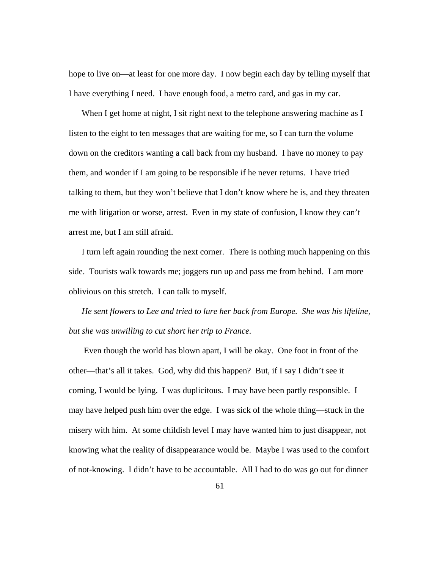hope to live on—at least for one more day. I now begin each day by telling myself that I have everything I need. I have enough food, a metro card, and gas in my car.

When I get home at night, I sit right next to the telephone answering machine as I listen to the eight to ten messages that are waiting for me, so I can turn the volume down on the creditors wanting a call back from my husband. I have no money to pay them, and wonder if I am going to be responsible if he never returns. I have tried talking to them, but they won't believe that I don't know where he is, and they threaten me with litigation or worse, arrest. Even in my state of confusion, I know they can't arrest me, but I am still afraid.

I turn left again rounding the next corner. There is nothing much happening on this side. Tourists walk towards me; joggers run up and pass me from behind. I am more oblivious on this stretch. I can talk to myself.

*He sent flowers to Lee and tried to lure her back from Europe. She was his lifeline, but she was unwilling to cut short her trip to France.* 

Even though the world has blown apart, I will be okay. One foot in front of the other—that's all it takes. God, why did this happen? But, if I say I didn't see it coming, I would be lying. I was duplicitous. I may have been partly responsible. I may have helped push him over the edge. I was sick of the whole thing—stuck in the misery with him. At some childish level I may have wanted him to just disappear, not knowing what the reality of disappearance would be. Maybe I was used to the comfort of not-knowing. I didn't have to be accountable. All I had to do was go out for dinner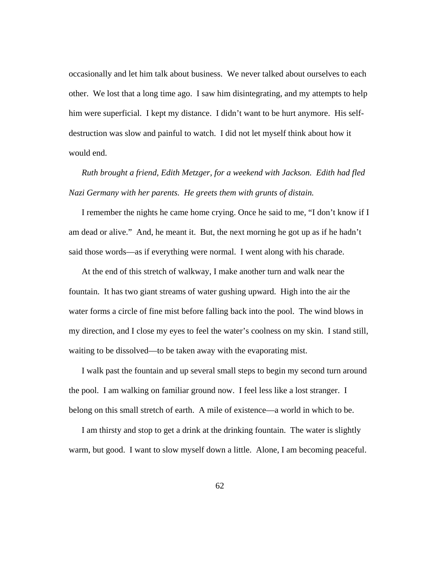occasionally and let him talk about business. We never talked about ourselves to each other. We lost that a long time ago. I saw him disintegrating, and my attempts to help him were superficial. I kept my distance. I didn't want to be hurt anymore. His selfdestruction was slow and painful to watch. I did not let myself think about how it would end.

*Ruth brought a friend, Edith Metzger, for a weekend with Jackson. Edith had fled Nazi Germany with her parents. He greets them with grunts of distain.* 

I remember the nights he came home crying. Once he said to me, "I don't know if I am dead or alive." And, he meant it. But, the next morning he got up as if he hadn't said those words—as if everything were normal. I went along with his charade.

At the end of this stretch of walkway, I make another turn and walk near the fountain. It has two giant streams of water gushing upward. High into the air the water forms a circle of fine mist before falling back into the pool. The wind blows in my direction, and I close my eyes to feel the water's coolness on my skin. I stand still, waiting to be dissolved—to be taken away with the evaporating mist.

I walk past the fountain and up several small steps to begin my second turn around the pool. I am walking on familiar ground now. I feel less like a lost stranger. I belong on this small stretch of earth. A mile of existence—a world in which to be.

I am thirsty and stop to get a drink at the drinking fountain. The water is slightly warm, but good. I want to slow myself down a little. Alone, I am becoming peaceful.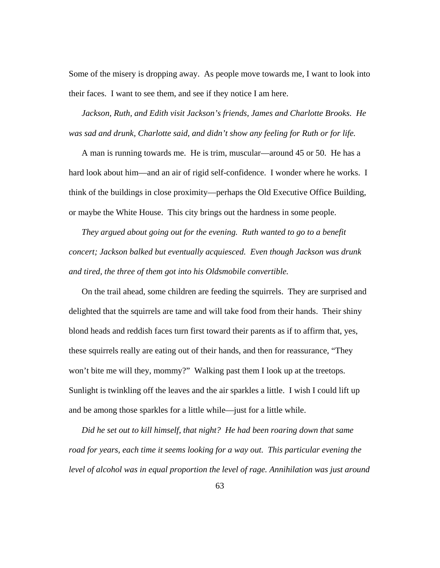Some of the misery is dropping away. As people move towards me, I want to look into their faces. I want to see them, and see if they notice I am here.

*Jackson, Ruth, and Edith visit Jackson's friends, James and Charlotte Brooks. He was sad and drunk, Charlotte said, and didn't show any feeling for Ruth or for life.* 

A man is running towards me. He is trim, muscular—around 45 or 50. He has a hard look about him—and an air of rigid self-confidence. I wonder where he works. I think of the buildings in close proximity—perhaps the Old Executive Office Building, or maybe the White House. This city brings out the hardness in some people.

*They argued about going out for the evening. Ruth wanted to go to a benefit concert; Jackson balked but eventually acquiesced. Even though Jackson was drunk and tired, the three of them got into his Oldsmobile convertible.* 

On the trail ahead, some children are feeding the squirrels. They are surprised and delighted that the squirrels are tame and will take food from their hands. Their shiny blond heads and reddish faces turn first toward their parents as if to affirm that, yes, these squirrels really are eating out of their hands, and then for reassurance, "They won't bite me will they, mommy?" Walking past them I look up at the treetops. Sunlight is twinkling off the leaves and the air sparkles a little. I wish I could lift up and be among those sparkles for a little while—just for a little while.

*Did he set out to kill himself, that night? He had been roaring down that same*  road for years, each time it seems looking for a way out. This particular evening the *level of alcohol was in equal proportion the level of rage. Annihilation was just around*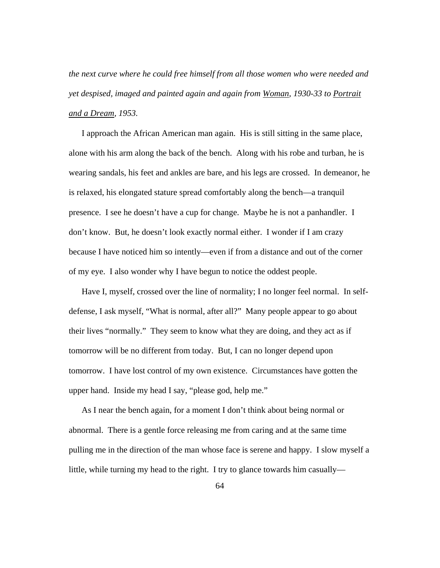*the next curve where he could free himself from all those women who were needed and yet despised, imaged and painted again and again from Woman, 1930-33 to Portrait and a Dream, 1953.* 

I approach the African American man again. His is still sitting in the same place, alone with his arm along the back of the bench. Along with his robe and turban, he is wearing sandals, his feet and ankles are bare, and his legs are crossed. In demeanor, he is relaxed, his elongated stature spread comfortably along the bench—a tranquil presence. I see he doesn't have a cup for change. Maybe he is not a panhandler. I don't know. But, he doesn't look exactly normal either. I wonder if I am crazy because I have noticed him so intently—even if from a distance and out of the corner of my eye. I also wonder why I have begun to notice the oddest people.

Have I, myself, crossed over the line of normality; I no longer feel normal. In selfdefense, I ask myself, "What is normal, after all?" Many people appear to go about their lives "normally." They seem to know what they are doing, and they act as if tomorrow will be no different from today. But, I can no longer depend upon tomorrow. I have lost control of my own existence. Circumstances have gotten the upper hand. Inside my head I say, "please god, help me."

As I near the bench again, for a moment I don't think about being normal or abnormal. There is a gentle force releasing me from caring and at the same time pulling me in the direction of the man whose face is serene and happy. I slow myself a little, while turning my head to the right. I try to glance towards him casually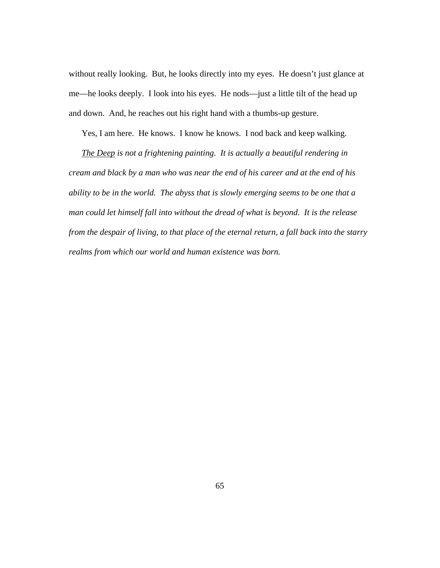without really looking. But, he looks directly into my eyes. He doesn't just glance at me—he looks deeply. I look into his eyes. He nods—just a little tilt of the head up and down. And, he reaches out his right hand with a thumbs-up gesture.

Yes, I am here. He knows. I know he knows. I nod back and keep walking.

*The Deep is not a frightening painting. It is actually a beautiful rendering in cream and black by a man who was near the end of his career and at the end of his ability to be in the world. The abyss that is slowly emerging seems to be one that a man could let himself fall into without the dread of what is beyond. It is the release from the despair of living, to that place of the eternal return, a fall back into the starry realms from which our world and human existence was born.*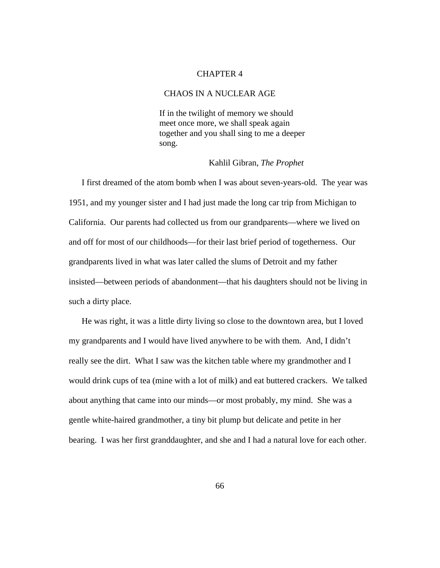#### CHAPTER 4

# CHAOS IN A NUCLEAR AGE

If in the twilight of memory we should meet once more, we shall speak again together and you shall sing to me a deeper song.

## Kahlil Gibran, *The Prophet*

I first dreamed of the atom bomb when I was about seven-years-old. The year was 1951, and my younger sister and I had just made the long car trip from Michigan to California. Our parents had collected us from our grandparents—where we lived on and off for most of our childhoods—for their last brief period of togetherness. Our grandparents lived in what was later called the slums of Detroit and my father insisted—between periods of abandonment—that his daughters should not be living in such a dirty place.

He was right, it was a little dirty living so close to the downtown area, but I loved my grandparents and I would have lived anywhere to be with them. And, I didn't really see the dirt. What I saw was the kitchen table where my grandmother and I would drink cups of tea (mine with a lot of milk) and eat buttered crackers. We talked about anything that came into our minds—or most probably, my mind. She was a gentle white-haired grandmother, a tiny bit plump but delicate and petite in her bearing. I was her first granddaughter, and she and I had a natural love for each other.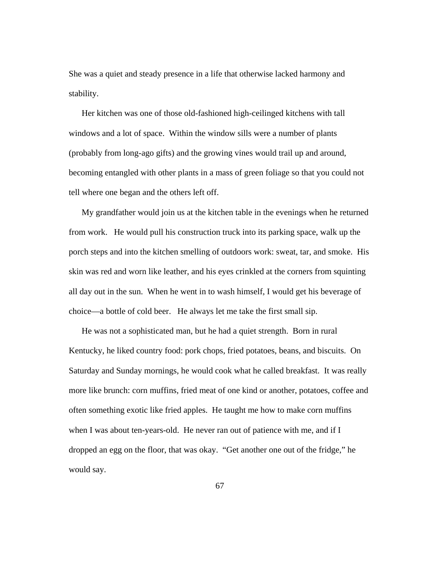She was a quiet and steady presence in a life that otherwise lacked harmony and stability.

Her kitchen was one of those old-fashioned high-ceilinged kitchens with tall windows and a lot of space. Within the window sills were a number of plants (probably from long-ago gifts) and the growing vines would trail up and around, becoming entangled with other plants in a mass of green foliage so that you could not tell where one began and the others left off.

My grandfather would join us at the kitchen table in the evenings when he returned from work. He would pull his construction truck into its parking space, walk up the porch steps and into the kitchen smelling of outdoors work: sweat, tar, and smoke. His skin was red and worn like leather, and his eyes crinkled at the corners from squinting all day out in the sun. When he went in to wash himself, I would get his beverage of choice—a bottle of cold beer. He always let me take the first small sip.

He was not a sophisticated man, but he had a quiet strength. Born in rural Kentucky, he liked country food: pork chops, fried potatoes, beans, and biscuits. On Saturday and Sunday mornings, he would cook what he called breakfast. It was really more like brunch: corn muffins, fried meat of one kind or another, potatoes, coffee and often something exotic like fried apples. He taught me how to make corn muffins when I was about ten-years-old. He never ran out of patience with me, and if I dropped an egg on the floor, that was okay. "Get another one out of the fridge," he would say.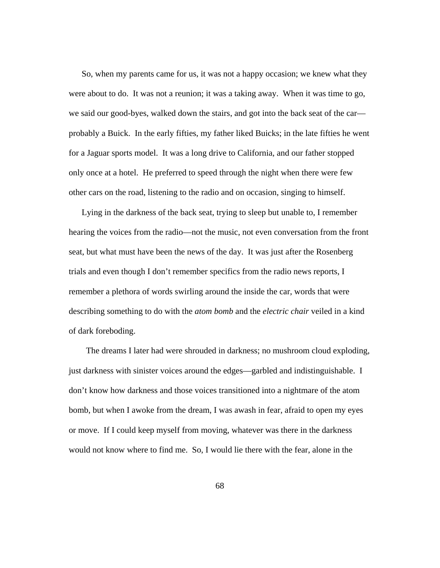So, when my parents came for us, it was not a happy occasion; we knew what they were about to do. It was not a reunion; it was a taking away. When it was time to go, we said our good-byes, walked down the stairs, and got into the back seat of the car probably a Buick. In the early fifties, my father liked Buicks; in the late fifties he went for a Jaguar sports model. It was a long drive to California, and our father stopped only once at a hotel. He preferred to speed through the night when there were few other cars on the road, listening to the radio and on occasion, singing to himself.

Lying in the darkness of the back seat, trying to sleep but unable to, I remember hearing the voices from the radio—not the music, not even conversation from the front seat, but what must have been the news of the day. It was just after the Rosenberg trials and even though I don't remember specifics from the radio news reports, I remember a plethora of words swirling around the inside the car, words that were describing something to do with the *atom bomb* and the *electric chair* veiled in a kind of dark foreboding.

 The dreams I later had were shrouded in darkness; no mushroom cloud exploding, just darkness with sinister voices around the edges—garbled and indistinguishable. I don't know how darkness and those voices transitioned into a nightmare of the atom bomb, but when I awoke from the dream, I was awash in fear, afraid to open my eyes or move. If I could keep myself from moving, whatever was there in the darkness would not know where to find me. So, I would lie there with the fear, alone in the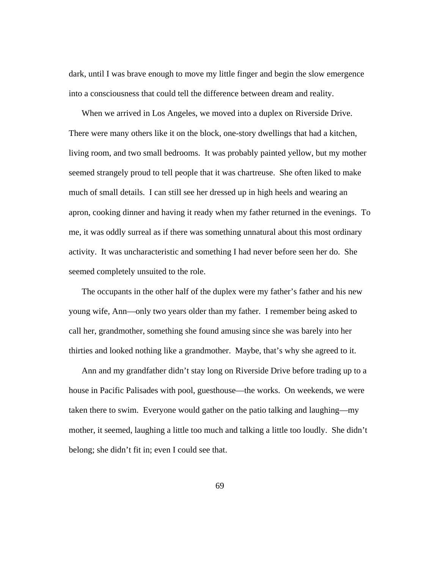dark, until I was brave enough to move my little finger and begin the slow emergence into a consciousness that could tell the difference between dream and reality.

When we arrived in Los Angeles, we moved into a duplex on Riverside Drive. There were many others like it on the block, one-story dwellings that had a kitchen, living room, and two small bedrooms. It was probably painted yellow, but my mother seemed strangely proud to tell people that it was chartreuse. She often liked to make much of small details. I can still see her dressed up in high heels and wearing an apron, cooking dinner and having it ready when my father returned in the evenings. To me, it was oddly surreal as if there was something unnatural about this most ordinary activity. It was uncharacteristic and something I had never before seen her do. She seemed completely unsuited to the role.

The occupants in the other half of the duplex were my father's father and his new young wife, Ann—only two years older than my father. I remember being asked to call her, grandmother, something she found amusing since she was barely into her thirties and looked nothing like a grandmother. Maybe, that's why she agreed to it.

Ann and my grandfather didn't stay long on Riverside Drive before trading up to a house in Pacific Palisades with pool, guesthouse—the works. On weekends, we were taken there to swim. Everyone would gather on the patio talking and laughing—my mother, it seemed, laughing a little too much and talking a little too loudly. She didn't belong; she didn't fit in; even I could see that.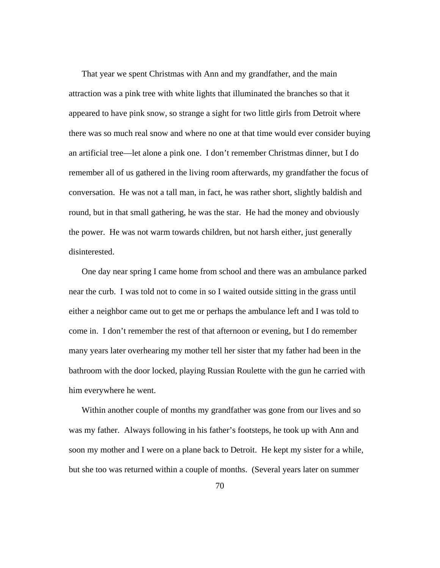That year we spent Christmas with Ann and my grandfather, and the main attraction was a pink tree with white lights that illuminated the branches so that it appeared to have pink snow, so strange a sight for two little girls from Detroit where there was so much real snow and where no one at that time would ever consider buying an artificial tree—let alone a pink one. I don't remember Christmas dinner, but I do remember all of us gathered in the living room afterwards, my grandfather the focus of conversation. He was not a tall man, in fact, he was rather short, slightly baldish and round, but in that small gathering, he was the star. He had the money and obviously the power. He was not warm towards children, but not harsh either, just generally disinterested.

One day near spring I came home from school and there was an ambulance parked near the curb. I was told not to come in so I waited outside sitting in the grass until either a neighbor came out to get me or perhaps the ambulance left and I was told to come in. I don't remember the rest of that afternoon or evening, but I do remember many years later overhearing my mother tell her sister that my father had been in the bathroom with the door locked, playing Russian Roulette with the gun he carried with him everywhere he went.

Within another couple of months my grandfather was gone from our lives and so was my father. Always following in his father's footsteps, he took up with Ann and soon my mother and I were on a plane back to Detroit. He kept my sister for a while, but she too was returned within a couple of months. (Several years later on summer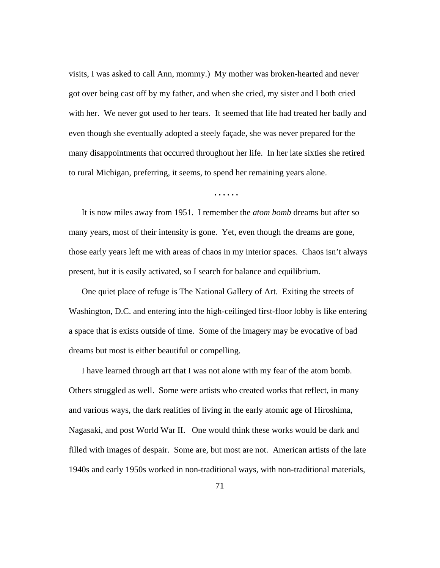visits, I was asked to call Ann, mommy.) My mother was broken-hearted and never got over being cast off by my father, and when she cried, my sister and I both cried with her. We never got used to her tears. It seemed that life had treated her badly and even though she eventually adopted a steely façade, she was never prepared for the many disappointments that occurred throughout her life. In her late sixties she retired to rural Michigan, preferring, it seems, to spend her remaining years alone.

**. . . . . .** 

It is now miles away from 1951. I remember the *atom bomb* dreams but after so many years, most of their intensity is gone. Yet, even though the dreams are gone, those early years left me with areas of chaos in my interior spaces. Chaos isn't always present, but it is easily activated, so I search for balance and equilibrium.

One quiet place of refuge is The National Gallery of Art. Exiting the streets of Washington, D.C. and entering into the high-ceilinged first-floor lobby is like entering a space that is exists outside of time. Some of the imagery may be evocative of bad dreams but most is either beautiful or compelling.

I have learned through art that I was not alone with my fear of the atom bomb. Others struggled as well. Some were artists who created works that reflect, in many and various ways, the dark realities of living in the early atomic age of Hiroshima, Nagasaki, and post World War II. One would think these works would be dark and filled with images of despair. Some are, but most are not. American artists of the late 1940s and early 1950s worked in non-traditional ways, with non-traditional materials,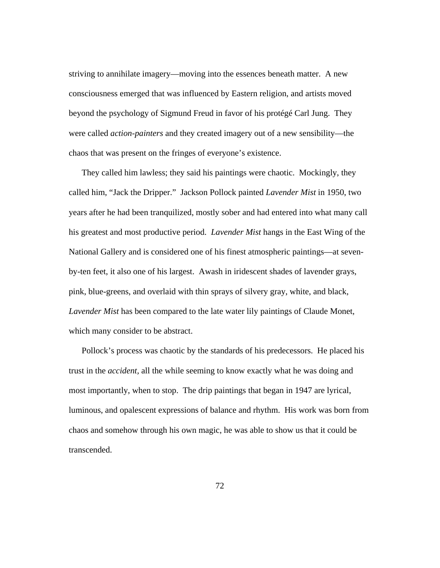striving to annihilate imagery—moving into the essences beneath matter. A new consciousness emerged that was influenced by Eastern religion, and artists moved beyond the psychology of Sigmund Freud in favor of his protégé Carl Jung. They were called *action-painters* and they created imagery out of a new sensibility—the chaos that was present on the fringes of everyone's existence.

They called him lawless; they said his paintings were chaotic. Mockingly, they called him, "Jack the Dripper." Jackson Pollock painted *Lavender Mist* in 1950, two years after he had been tranquilized, mostly sober and had entered into what many call his greatest and most productive period. *Lavender Mist* hangs in the East Wing of the National Gallery and is considered one of his finest atmospheric paintings—at sevenby-ten feet, it also one of his largest. Awash in iridescent shades of lavender grays, pink, blue-greens, and overlaid with thin sprays of silvery gray, white, and black, *Lavender Mist* has been compared to the late water lily paintings of Claude Monet, which many consider to be abstract.

Pollock's process was chaotic by the standards of his predecessors. He placed his trust in the *accident,* all the while seeming to know exactly what he was doing and most importantly, when to stop. The drip paintings that began in 1947 are lyrical, luminous, and opalescent expressions of balance and rhythm. His work was born from chaos and somehow through his own magic, he was able to show us that it could be transcended.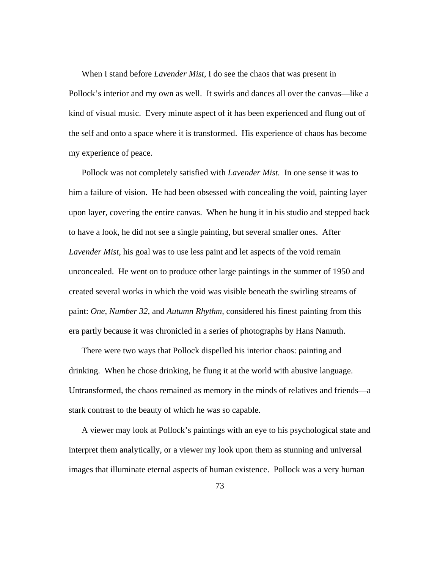When I stand before *Lavender Mist*, I do see the chaos that was present in Pollock's interior and my own as well. It swirls and dances all over the canvas—like a kind of visual music. Every minute aspect of it has been experienced and flung out of the self and onto a space where it is transformed. His experience of chaos has become my experience of peace.

Pollock was not completely satisfied with *Lavender Mist.* In one sense it was to him a failure of vision. He had been obsessed with concealing the void, painting layer upon layer, covering the entire canvas. When he hung it in his studio and stepped back to have a look, he did not see a single painting, but several smaller ones. After *Lavender Mist*, his goal was to use less paint and let aspects of the void remain unconcealed. He went on to produce other large paintings in the summer of 1950 and created several works in which the void was visible beneath the swirling streams of paint: *One, Number 32,* and *Autumn Rhythm,* considered his finest painting from this era partly because it was chronicled in a series of photographs by Hans Namuth.

There were two ways that Pollock dispelled his interior chaos: painting and drinking. When he chose drinking, he flung it at the world with abusive language. Untransformed, the chaos remained as memory in the minds of relatives and friends—a stark contrast to the beauty of which he was so capable.

A viewer may look at Pollock's paintings with an eye to his psychological state and interpret them analytically, or a viewer my look upon them as stunning and universal images that illuminate eternal aspects of human existence. Pollock was a very human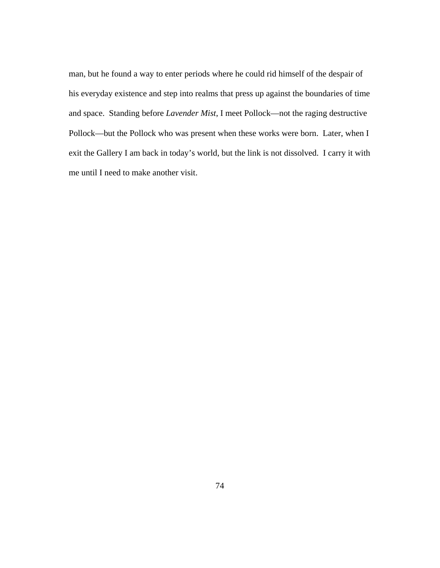man, but he found a way to enter periods where he could rid himself of the despair of his everyday existence and step into realms that press up against the boundaries of time and space. Standing before *Lavender Mist*, I meet Pollock—not the raging destructive Pollock—but the Pollock who was present when these works were born. Later, when I exit the Gallery I am back in today's world, but the link is not dissolved. I carry it with me until I need to make another visit.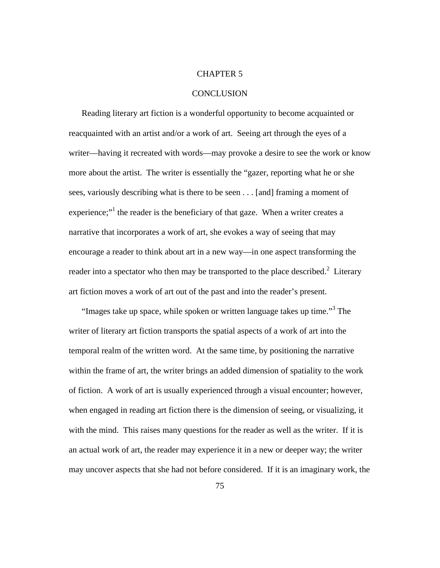## CHAPTER 5

## **CONCLUSION**

Reading literary art fiction is a wonderful opportunity to become acquainted or reacquainted with an artist and/or a work of art. Seeing art through the eyes of a writer—having it recreated with words—may provoke a desire to see the work or know more about the artist. The writer is essentially the "gazer, reporting what he or she sees, variously describing what is there to be seen . . . [and] framing a moment of experience;"<sup>1</sup> the reader is the beneficiary of that gaze. When a writer creates a narrative that incorporates a work of art, she evokes a way of seeing that may encourage a reader to think about art in a new way—in one aspect transforming the reader into a spectator who then may be transported to the place described.<sup>2</sup> Literary art fiction moves a work of art out of the past and into the reader's present.

"Images take up space, while spoken or written language takes up time."<sup>3</sup> The writer of literary art fiction transports the spatial aspects of a work of art into the temporal realm of the written word. At the same time, by positioning the narrative within the frame of art, the writer brings an added dimension of spatiality to the work of fiction. A work of art is usually experienced through a visual encounter; however, when engaged in reading art fiction there is the dimension of seeing, or visualizing, it with the mind. This raises many questions for the reader as well as the writer. If it is an actual work of art, the reader may experience it in a new or deeper way; the writer may uncover aspects that she had not before considered. If it is an imaginary work, the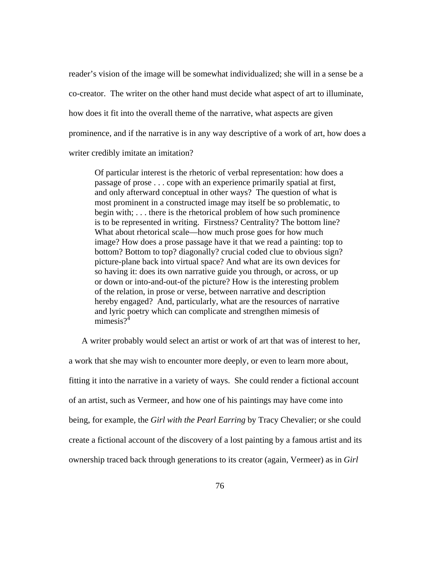reader's vision of the image will be somewhat individualized; she will in a sense be a co-creator. The writer on the other hand must decide what aspect of art to illuminate, how does it fit into the overall theme of the narrative, what aspects are given prominence, and if the narrative is in any way descriptive of a work of art, how does a writer credibly imitate an imitation?

Of particular interest is the rhetoric of verbal representation: how does a passage of prose . . . cope with an experience primarily spatial at first, and only afterward conceptual in other ways? The question of what is most prominent in a constructed image may itself be so problematic, to begin with; . . . there is the rhetorical problem of how such prominence is to be represented in writing. Firstness? Centrality? The bottom line? What about rhetorical scale—how much prose goes for how much image? How does a prose passage have it that we read a painting: top to bottom? Bottom to top? diagonally? crucial coded clue to obvious sign? picture-plane back into virtual space? And what are its own devices for so having it: does its own narrative guide you through, or across, or up or down or into-and-out-of the picture? How is the interesting problem of the relation, in prose or verse, between narrative and description hereby engaged? And, particularly, what are the resources of narrative and lyric poetry which can complicate and strengthen mimesis of mimesis $2^{\overline{4}}$ 

A writer probably would select an artist or work of art that was of interest to her,

a work that she may wish to encounter more deeply, or even to learn more about, fitting it into the narrative in a variety of ways. She could render a fictional account of an artist, such as Vermeer, and how one of his paintings may have come into being, for example, the *Girl with the Pearl Earring* by Tracy Chevalier; or she could create a fictional account of the discovery of a lost painting by a famous artist and its ownership traced back through generations to its creator (again, Vermeer) as in *Girl*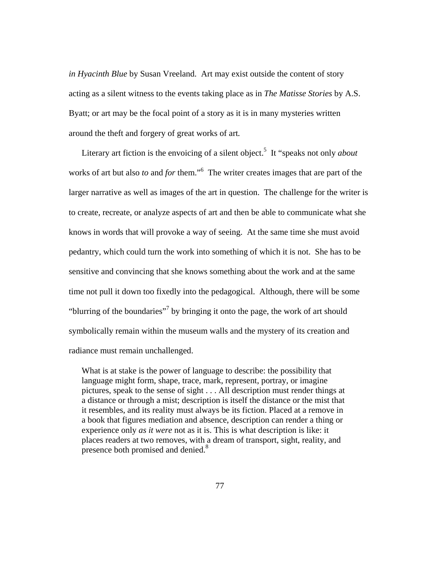*in Hyacinth Blue* by Susan Vreeland. Art may exist outside the content of story acting as a silent witness to the events taking place as in *The Matisse Stories* by A.S. Byatt; or art may be the focal point of a story as it is in many mysteries written around the theft and forgery of great works of art*.*

Literary art fiction is the envoicing of a silent object.<sup>5</sup> It "speaks not only *about* works of art but also *to* and *for* them."<sup>6</sup> The writer creates images that are part of the larger narrative as well as images of the art in question. The challenge for the writer is to create, recreate, or analyze aspects of art and then be able to communicate what she knows in words that will provoke a way of seeing. At the same time she must avoid pedantry, which could turn the work into something of which it is not. She has to be sensitive and convincing that she knows something about the work and at the same time not pull it down too fixedly into the pedagogical. Although, there will be some "blurring of the boundaries"<sup>7</sup> by bringing it onto the page, the work of art should symbolically remain within the museum walls and the mystery of its creation and radiance must remain unchallenged.

What is at stake is the power of language to describe: the possibility that language might form, shape, trace, mark, represent, portray, or imagine pictures, speak to the sense of sight . . . All description must render things at a distance or through a mist; description is itself the distance or the mist that it resembles, and its reality must always be its fiction. Placed at a remove in a book that figures mediation and absence, description can render a thing or experience only *as it were* not as it is. This is what description is like: it places readers at two removes, with a dream of transport, sight, reality, and presence both promised and denied.<sup>8</sup>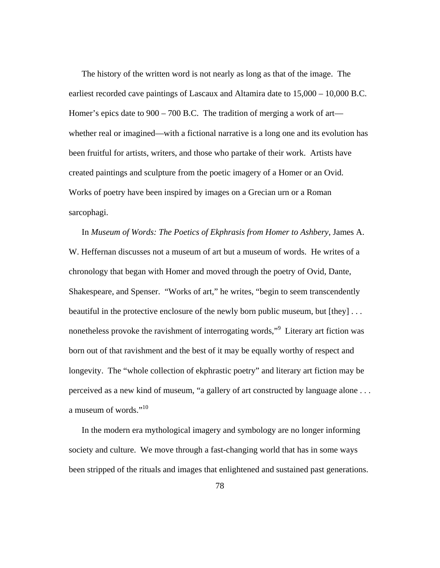The history of the written word is not nearly as long as that of the image. The earliest recorded cave paintings of Lascaux and Altamira date to 15,000 – 10,000 B.C. Homer's epics date to 900 – 700 B.C. The tradition of merging a work of art whether real or imagined—with a fictional narrative is a long one and its evolution has been fruitful for artists, writers, and those who partake of their work. Artists have created paintings and sculpture from the poetic imagery of a Homer or an Ovid. Works of poetry have been inspired by images on a Grecian urn or a Roman sarcophagi.

In *Museum of Words: The Poetics of Ekphrasis from Homer to Ashbery,* James A. W. Heffernan discusses not a museum of art but a museum of words. He writes of a chronology that began with Homer and moved through the poetry of Ovid, Dante, Shakespeare, and Spenser. "Works of art," he writes, "begin to seem transcendently beautiful in the protective enclosure of the newly born public museum, but [they] . . . nonetheless provoke the ravishment of interrogating words,"<sup>9</sup> Literary art fiction was born out of that ravishment and the best of it may be equally worthy of respect and longevity. The "whole collection of ekphrastic poetry" and literary art fiction may be perceived as a new kind of museum, "a gallery of art constructed by language alone . . . a museum of words."<sup>10</sup>

In the modern era mythological imagery and symbology are no longer informing society and culture. We move through a fast-changing world that has in some ways been stripped of the rituals and images that enlightened and sustained past generations.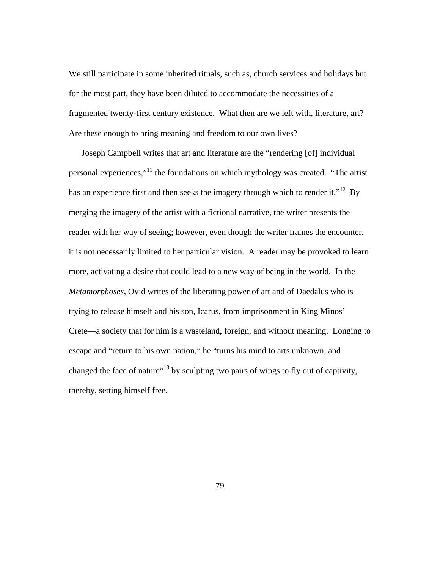We still participate in some inherited rituals, such as, church services and holidays but for the most part, they have been diluted to accommodate the necessities of a fragmented twenty-first century existence. What then are we left with, literature, art? Are these enough to bring meaning and freedom to our own lives?

Joseph Campbell writes that art and literature are the "rendering [of] individual personal experiences,"11 the foundations on which mythology was created. "The artist has an experience first and then seeks the imagery through which to render it."<sup>12</sup> By merging the imagery of the artist with a fictional narrative, the writer presents the reader with her way of seeing; however, even though the writer frames the encounter, it is not necessarily limited to her particular vision. A reader may be provoked to learn more, activating a desire that could lead to a new way of being in the world. In the *Metamorphoses,* Ovid writes of the liberating power of art and of Daedalus who is trying to release himself and his son, Icarus, from imprisonment in King Minos' Crete—a society that for him is a wasteland, foreign, and without meaning. Longing to escape and "return to his own nation," he "turns his mind to arts unknown, and changed the face of nature"<sup>13</sup> by sculpting two pairs of wings to fly out of captivity, thereby, setting himself free.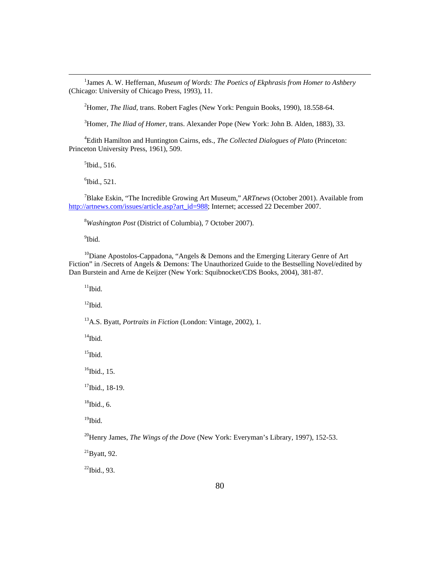1 <sup>1</sup> James A. W. Heffernan, *Museum of Words: The Poetics of Ekphrasis from Homer to Ashbery* (Chicago: University of Chicago Press, 1993), 11.

2 Homer, *The Iliad,* trans. Robert Fagles (New York: Penguin Books, 1990), 18.558-64.

3 Homer, *The Iliad of Homer,* trans. Alexander Pope (New York: John B. Alden, 1883), 33.

4 Edith Hamilton and Huntington Cairns, eds., *The Collected Dialogues of Plato* (Princeton: Princeton University Press, 1961), 509.

 $<sup>5</sup>$ Ibid., 516.</sup>

 $6$ Ibid., 521.

7 Blake Eskin, "The Incredible Growing Art Museum," *ARTnews* (October 2001). Available from http://artnews.com/issues/article.asp?art\_id=988; Internet; accessed 22 December 2007.

8 *Washington Post* (District of Columbia), 7 October 2007).

<sup>9</sup>Ibid.

<sup>10</sup>Diane Apostolos-Cappadona, "Angels & Demons and the Emerging Literary Genre of Art Fiction" in /Secrets of Angels & Demons: The Unauthorized Guide to the Bestselling Novel/edited by Dan Burstein and Arne de Keijzer (New York: Squibnocket/CDS Books, 2004), 381-87.

 $11$ Ibid.

 $12$ Ibid.

13A.S. Byatt, *Portraits in Fiction* (London: Vintage, 2002), 1.

 $14$ Ibid.

 $15$ Ibid.

 $16$ Ibid., 15.

 $17$ Ibid., 18-19.

 $18$ Ibid., 6.

 $19$ Ibid.

<sup>20</sup>Henry James, *The Wings of the Dove* (New York: Everyman's Library, 1997), 152-53.

 $^{21}$ Byatt, 92.

 $^{22}$ Ibid., 93.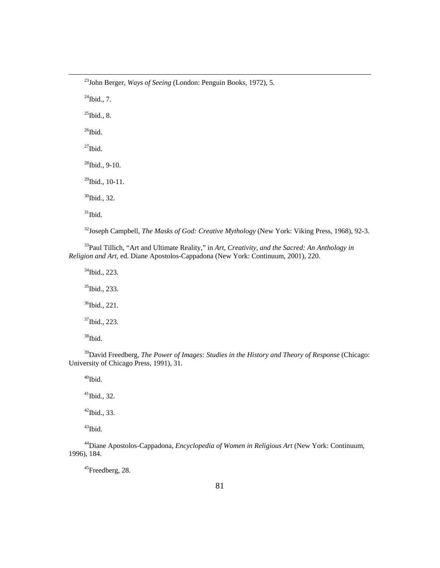23John Berger, *Ways of Seeing* (London: Penguin Books, 1972), 5.

 $^{24}$ Ibid., 7.  $^{25}$ Ibid., 8.  $28$ Ibid., 9-10.  $29$ Ibid., 10-11. 30Ibid., 32. 32Joseph Campbell, *The Masks of God: Creative Mythology* (New York: Viking Press, 1968), 92-3.

33Paul Tillich, "Art and Ultimate Reality," in *Art, Creativity, and the Sacred: An Anthology in* 

*Religion and Art,* ed. Diane Apostolos-Cappadona (New York: Continuum, 2001), 220.

34Ibid., 223. <sup>35</sup>Ibid., 233. 36Ibid., 221. 37Ibid., 223. 38Ibid.

 $26$ Ibid.

 $27$ Ibid.

 $31$ Ibid.

<sup>39</sup>David Freedberg, *The Power of Images: Studies in the History and Theory of Response* (Chicago: University of Chicago Press, 1991), 31.

 $40$ Ibid.

 $41$ Ibid., 32.

 $42$ Ibid., 33.

<sup>43</sup>Ibid.

44Diane Apostolos-Cappadona, *Encyclopedia of Women in Religious Art* (New York: Continuum, 1996), 184.

45Freedberg, 28.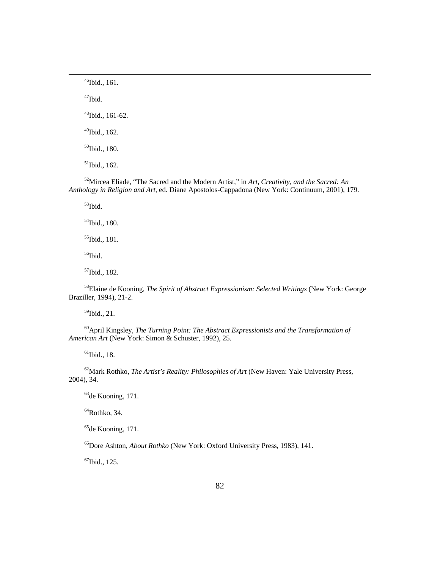46Ibid., 161.

 $47$ Ibid.

48Ibid., 161-62.

49Ibid., 162.

50Ibid., 180.

 $51$ Ibid., 162.

52Mircea Eliade, "The Sacred and the Modern Artist," in *Art, Creativity, and the Sacred: An Anthology in Religion and Art,* ed. Diane Apostolos-Cappadona (New York: Continuum, 2001), 179.

 $53$ Ibid.

54Ibid., 180.

55Ibid., 181.

<sup>56</sup>Ibid.

57Ibid., 182.

58Elaine de Kooning, *The Spirit of Abstract Expressionism: Selected Writings* (New York: George Braziller, 1994), 21-2.

59Ibid., 21.

60April Kingsley, *The Turning Point: The Abstract Expressionists and the Transformation of American Art* (New York: Simon & Schuster, 1992), 25.

 $61$ Ibid., 18.

62Mark Rothko, *The Artist's Reality: Philosophies of Art* (New Haven: Yale University Press, 2004), 34.

63de Kooning, 171.

 $64$ Rothko, 34.

65de Kooning, 171.

66Dore Ashton, *About Rothko* (New York: Oxford University Press, 1983), 141.

67Ibid., 125.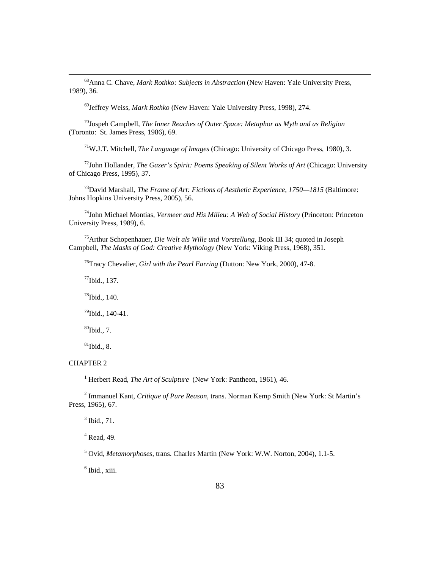68Anna C. Chave, *Mark Rothko: Subjects in Abstraction* (New Haven: Yale University Press, 1989), 36*.* 

69Jeffrey Weiss, *Mark Rothko* (New Haven: Yale University Press, 1998), 274.

70Jospeh Campbell, *The Inner Reaches of Outer Space: Metaphor as Myth and as Religion*  (Toronto: St. James Press, 1986), 69.

71W.J.T. Mitchell, *The Language of Images* (Chicago: University of Chicago Press, 1980), 3.

<sup>72</sup>John Hollander, *The Gazer's Spirit: Poems Speaking of Silent Works of Art* (Chicago: University of Chicago Press, 1995), 37.

<sup>73</sup>David Marshall, *The Frame of Art: Fictions of Aesthetic Experience, 1750—1815* (Baltimore: Johns Hopkins University Press, 2005), 56.

74John Michael Montias, *Vermeer and His Milieu: A Web of Social History* (Princeton: Princeton University Press, 1989), 6.

75Arthur Schopenhauer, *Die Welt als Wille und Vorstellung,* Book III 34; quoted in Joseph Campbell, *The Masks of God: Creative Mythology* (New York: Viking Press, 1968), 351.

76Tracy Chevalier, *Girl with the Pearl Earring* (Dutton: New York, 2000), 47-8.

 $77$ Ibid., 137.

78Ibid., 140.

79Ibid., 140-41.

 $80$ Ibid., 7.

 $81$ Ibid., 8.

#### CHAPTER 2

<sup>1</sup> Herbert Read, *The Art of Sculpture* (New York: Pantheon, 1961), 46.

2 Immanuel Kant, *Critique of Pure Reason,* trans. Norman Kemp Smith (New York: St Martin's Press, 1965), 67.

 $3$  Ibid., 71.

4 Read, 49.

5 Ovid, *Metamorphoses,* trans. Charles Martin (New York: W.W. Norton, 2004), 1.1-5.

6 Ibid., xiii.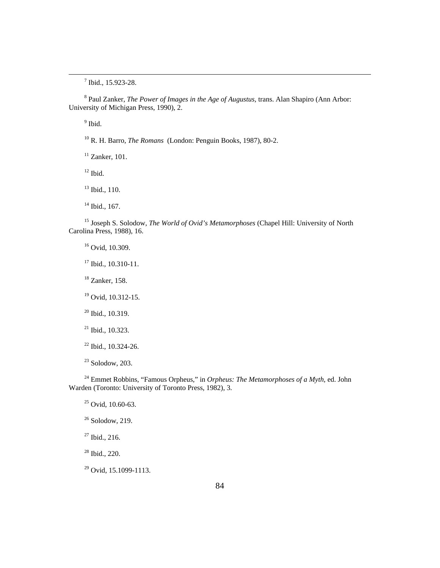7 Ibid., 15.923-28.

8 Paul Zanker, *The Power of Images in the Age of Augustus,* trans. Alan Shapiro (Ann Arbor: University of Michigan Press, 1990), 2.

<sup>9</sup> Ibid.

10 R. H. Barro, *The Romans* (London: Penguin Books, 1987), 80-2.

 $11$  Zanker, 101.

 $12$  Ibid.

<sup>13</sup> Ibid., 110.

 $14$  Ibid., 167.

15 Joseph S. Solodow, *The World of Ovid's Metamorphoses* (Chapel Hill: University of North Carolina Press, 1988), 16.

<sup>16</sup> Ovid, 10.309.

17 Ibid., 10.310-11.

18 Zanker, 158.

19 Ovid, 10.312-15.

<sup>20</sup> Ibid., 10.319.

 $21$  Ibid., 10.323.

22 Ibid., 10.324-26.

23 Solodow, 203.

24 Emmet Robbins, "Famous Orpheus," in *Orpheus: The Metamorphoses of a Myth,* ed. John Warden (Toronto: University of Toronto Press, 1982), 3.

 $25$  Ovid, 10.60-63.

 $26$  Solodow, 219.

27 Ibid., 216.

28 Ibid., 220.

29 Ovid, 15.1099-1113.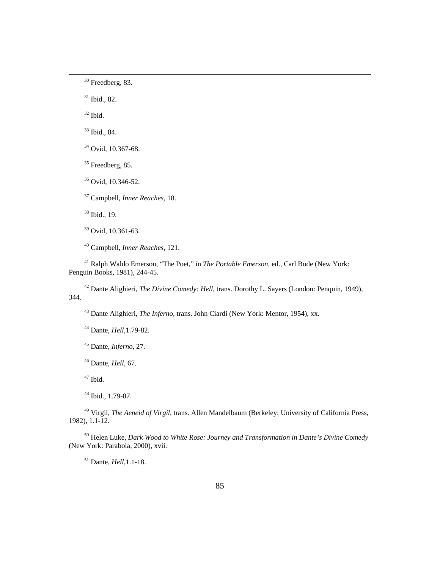30 Freedberg, 83.

31 Ibid., 82.

 $32$  Ibid.

33 Ibid., 84.

34 Ovid, 10.367-68.

 $35$  Freedberg, 85.

36 Ovid, 10.346-52.

37 Campbell, *Inner Reaches,* 18.

38 Ibid., 19.

39 Ovid, 10.361-63.

40 Campbell, *Inner Reaches,* 121.

41 Ralph Waldo Emerson, "The Poet," in *The Portable Emerson,* ed., Carl Bode (New York: Penguin Books, 1981), 244-45.

42 Dante Alighieri, *The Divine Comedy: Hell,* trans. Dorothy L. Sayers (London: Penquin, 1949), 344.

43 Dante Alighieri, *The Inferno,* trans. John Ciardi (New York: Mentor, 1954), xx.

44 Dante, *Hell,*1.79-82.

45 Dante, *Inferno,* 27.

46 Dante, *Hell,* 67.

 $47$  Ibid.

48 Ibid., 1.79-87.

49 Virgil, *The Aeneid of Virgil,* trans. Allen Mandelbaum (Berkeley: University of California Press, 1982), 1.1-12.

50 Helen Luke, *Dark Wood to White Rose: Journey and Transformation in Dante's Divine Comedy*  (New York: Parabola, 2000), xvii.

51 Dante, *Hell,*1.1-18.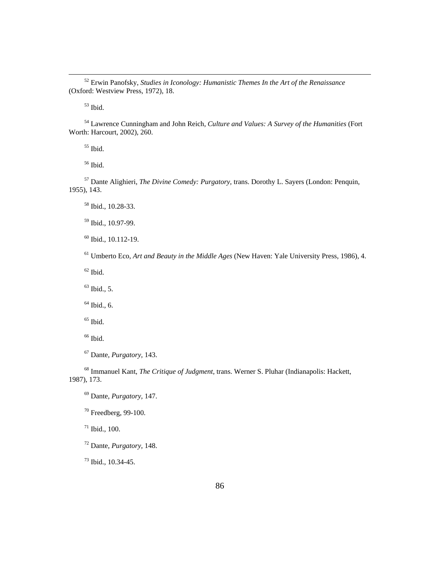52 Erwin Panofsky, *Studies in Iconology: Humanistic Themes In the Art of the Renaissance*  (Oxford: Westview Press, 1972), 18.

53 Ibid.

54 Lawrence Cunningham and John Reich, *Culture and Values: A Survey of the Humanities* (Fort Worth: Harcourt, 2002), 260.

55 Ibid.

56 Ibid.

57 Dante Alighieri, *The Divine Comedy: Purgatory,* trans. Dorothy L. Sayers (London: Penquin, 1955), 143.

58 Ibid., 10.28-33.

59 Ibid., 10.97-99.

60 Ibid., 10.112-19.

61 Umberto Eco, *Art and Beauty in the Middle Ages* (New Haven: Yale University Press, 1986), 4.

 $62$  Ibid.

 $63$  Ibid., 5.

 $64$  Ibid., 6.

 $65$  Ibid.

 $^{66}$  Ibid.

67 Dante, *Purgatory,* 143.

68 Immanuel Kant, *The Critique of Judgment,* trans. Werner S. Pluhar (Indianapolis: Hackett, 1987), 173.

69 Dante, *Purgatory,* 147.

70 Freedberg, 99-100.

71 Ibid., 100.

72 Dante, *Purgatory,* 148.

73 Ibid., 10.34-45.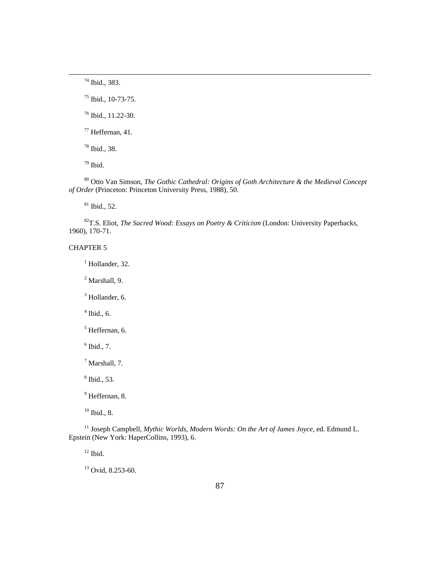74 Ibid., 383.

75 Ibid., 10-73-75.

76 Ibid., 11.22-30.

77 Heffernan, 41.

78 Ibid., 38.

 $^{79}$  Ibid.

80 Otto Van Simson, *The Gothic Cathedral: Origins of Goth Architecture & the Medieval Concept of Order* (Princeton: Princeton University Press, 1988), 50.

 $81$  Ibid., 52.

82T.S. Eliot, *The Sacred Wood: Essays on Poetry & Criticism* (London: University Paperbacks, 1960), 170-71.

# CHAPTER 5

 $<sup>1</sup>$  Hollander, 32.</sup>

2 Marshall, 9.

<sup>3</sup> Hollander, 6.

 $<sup>4</sup>$  Ibid., 6.</sup>

<sup>5</sup> Heffernan, 6.

 $<sup>6</sup>$  Ibid., 7.</sup>

7 Marshall, 7.

8 Ibid., 53.

<sup>9</sup> Heffernan, 8.

 $10$  Ibid., 8.

<sup>11</sup> Joseph Campbell, *Mythic Worlds, Modern Words: On the Art of James Joyce*, ed. Edmund L. Epstein (New York: HaperCollins, 1993), 6.

 $12$  Ibid.

<sup>13</sup> Ovid, 8.253-60.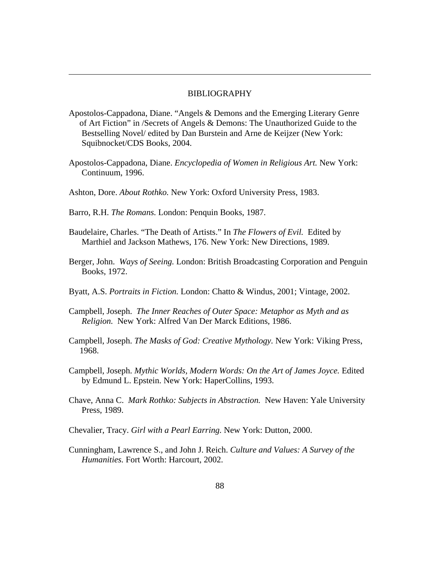#### BIBLIOGRAPHY

- Apostolos-Cappadona, Diane. "Angels & Demons and the Emerging Literary Genre of Art Fiction" in /Secrets of Angels & Demons: The Unauthorized Guide to the Bestselling Novel/ edited by Dan Burstein and Arne de Keijzer (New York: Squibnocket/CDS Books, 2004.
- Apostolos-Cappadona, Diane. *Encyclopedia of Women in Religious Art.* New York: Continuum, 1996.
- Ashton, Dore. *About Rothko.* New York: Oxford University Press, 1983.
- Barro, R.H. *The Romans.* London: Penquin Books, 1987.

- Baudelaire, Charles. "The Death of Artists." In *The Flowers of Evil.* Edited by Marthiel and Jackson Mathews, 176. New York: New Directions, 1989.
- Berger, John. *Ways of Seeing.* London: British Broadcasting Corporation and Penguin Books, 1972.
- Byatt, A.S. *Portraits in Fiction.* London: Chatto & Windus, 2001; Vintage, 2002.
- Campbell, Joseph. *The Inner Reaches of Outer Space: Metaphor as Myth and as Religion.* New York: Alfred Van Der Marck Editions, 1986.
- Campbell, Joseph. *The Masks of God: Creative Mythology.* New York: Viking Press, 1968.
- Campbell, Joseph. *Mythic Worlds, Modern Words: On the Art of James Joyce.* Edited by Edmund L. Epstein. New York: HaperCollins, 1993.
- Chave, Anna C. *Mark Rothko: Subjects in Abstraction.* New Haven: Yale University Press, 1989.
- Chevalier, Tracy. *Girl with a Pearl Earring.* New York: Dutton, 2000.
- Cunningham, Lawrence S., and John J. Reich. *Culture and Values: A Survey of the Humanities.* Fort Worth: Harcourt, 2002.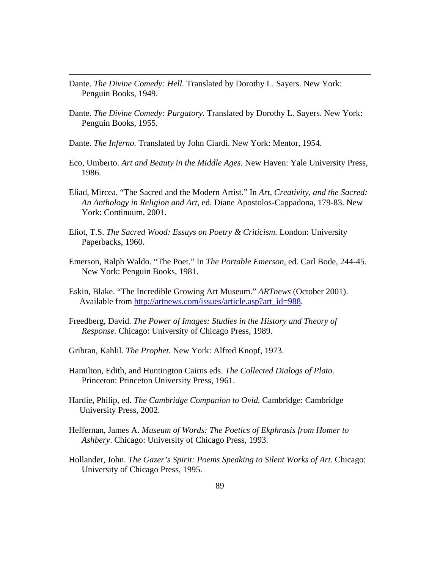Dante. *The Divine Comedy: Hell.* Translated by Dorothy L. Sayers. New York: Penguin Books, 1949.

- Dante. *The Divine Comedy: Purgatory.* Translated by Dorothy L. Sayers. New York: Penguin Books, 1955.
- Dante. *The Inferno.* Translated by John Ciardi. New York: Mentor, 1954.
- Eco, Umberto. *Art and Beauty in the Middle Ages.* New Haven: Yale University Press, 1986.
- Eliad, Mircea. "The Sacred and the Modern Artist." In *Art, Creativity, and the Sacred: An Anthology in Religion and Art,* ed. Diane Apostolos-Cappadona, 179-83. New York: Continuum, 2001.
- Eliot, T.S. *The Sacred Wood: Essays on Poetry & Criticism.* London: University Paperbacks, 1960.
- Emerson, Ralph Waldo. "The Poet." In *The Portable Emerson,* ed. Carl Bode, 244-45. New York: Penguin Books, 1981.
- Eskin, Blake. "The Incredible Growing Art Museum." *ARTnews* (October 2001). Available from http://artnews.com/issues/article.asp?art\_id=988.
- Freedberg, David. *The Power of Images: Studies in the History and Theory of Response.* Chicago: University of Chicago Press, 1989.
- Gribran, Kahlil. *The Prophet.* New York: Alfred Knopf, 1973.
- Hamilton, Edith, and Huntington Cairns eds. *The Collected Dialogs of Plato.*  Princeton: Princeton University Press, 1961.
- Hardie, Philip, ed. *The Cambridge Companion to Ovid.* Cambridge: Cambridge University Press, 2002.
- Heffernan, James A. *Museum of Words: The Poetics of Ekphrasis from Homer to Ashbery*. Chicago: University of Chicago Press, 1993.
- Hollander, John. *The Gazer's Spirit: Poems Speaking to Silent Works of Art.* Chicago: University of Chicago Press, 1995.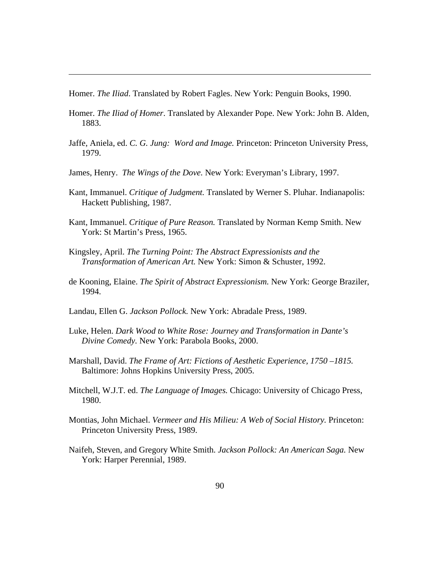Homer. *The Iliad*. Translated by Robert Fagles. New York: Penguin Books, 1990.

- Homer. *The Iliad of Homer*. Translated by Alexander Pope. New York: John B. Alden, 1883.
- Jaffe, Aniela, ed. *C. G. Jung: Word and Image.* Princeton: Princeton University Press, 1979.
- James, Henry. *The Wings of the Dove.* New York: Everyman's Library, 1997.
- Kant, Immanuel. *Critique of Judgment.* Translated by Werner S. Pluhar. Indianapolis: Hackett Publishing, 1987.
- Kant, Immanuel. *Critique of Pure Reason.* Translated by Norman Kemp Smith. New York: St Martin's Press, 1965.
- Kingsley, April. *The Turning Point: The Abstract Expressionists and the Transformation of American Art.* New York: Simon & Schuster, 1992.
- de Kooning, Elaine. *The Spirit of Abstract Expressionism.* New York: George Braziler, 1994.
- Landau, Ellen G. *Jackson Pollock.* New York: Abradale Press, 1989.
- Luke, Helen. *Dark Wood to White Rose: Journey and Transformation in Dante's Divine Comedy.* New York: Parabola Books, 2000.
- Marshall, David. *The Frame of Art: Fictions of Aesthetic Experience, 1750 –1815.* Baltimore: Johns Hopkins University Press, 2005.
- Mitchell, W.J.T. ed. *The Language of Images.* Chicago: University of Chicago Press, 1980.
- Montias, John Michael. *Vermeer and His Milieu: A Web of Social History.* Princeton: Princeton University Press, 1989.
- Naifeh, Steven, and Gregory White Smith. *Jackson Pollock: An American Saga.* New York: Harper Perennial, 1989.